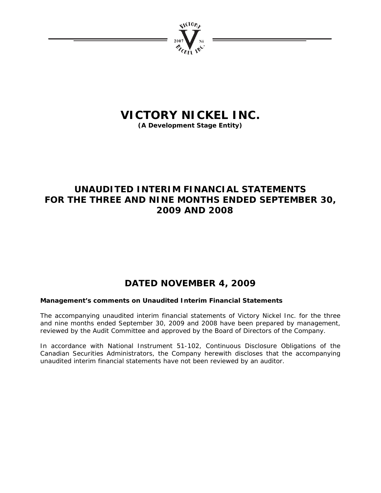

# **VICTORY NICKEL INC.**

**(A Development Stage Entity)** 

# **UNAUDITED INTERIM FINANCIAL STATEMENTS FOR THE THREE AND NINE MONTHS ENDED SEPTEMBER 30, 2009 AND 2008**

# **DATED NOVEMBER 4, 2009**

### **Management's comments on Unaudited Interim Financial Statements**

The accompanying unaudited interim financial statements of Victory Nickel Inc. for the three and nine months ended September 30, 2009 and 2008 have been prepared by management, reviewed by the Audit Committee and approved by the Board of Directors of the Company.

In accordance with National Instrument 51-102, Continuous Disclosure Obligations of the Canadian Securities Administrators, the Company herewith discloses that the accompanying unaudited interim financial statements have not been reviewed by an auditor.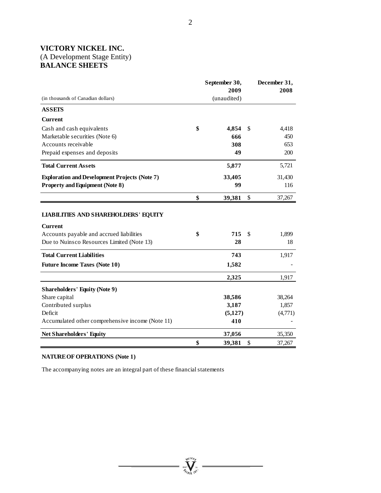# **VICTORY NICKEL INC.**  (A Development Stage Entity) **BALANCE SHEETS**

|                                                      | September 30, |    | December 31, |
|------------------------------------------------------|---------------|----|--------------|
|                                                      | 2009          |    | 2008         |
| (in thousands of Canadian dollars)                   | (unaudited)   |    |              |
| <b>ASSETS</b>                                        |               |    |              |
| Current                                              |               |    |              |
| Cash and cash equivalents                            | \$<br>4,854   | \$ | 4,418        |
| Marketable securities (Note 6)                       | 666           |    | 450          |
| Accounts receivable                                  | 308           |    | 653          |
| Prepaid expenses and deposits                        | 49            |    | 200          |
| <b>Total Current Assets</b>                          | 5,877         |    | 5,721        |
| <b>Exploration and Development Projects (Note 7)</b> | 33,405        |    | 31,430       |
| <b>Property and Equipment (Note 8)</b>               | 99            |    | 116          |
|                                                      | \$<br>39,381  | \$ | 37,267       |
|                                                      |               |    |              |
| <b>LIABILITIES AND SHAREHOLDERS' EQUITY</b>          |               |    |              |
| <b>Current</b>                                       |               |    |              |
| Accounts payable and accrued liabilities             | \$<br>715     | S  | 1,899        |
| Due to Nuinsco Resources Limited (Note 13)           | 28            |    | 18           |
| <b>Total Current Liabilities</b>                     | 743           |    | 1,917        |
| <b>Future Income Taxes (Note 10)</b>                 | 1,582         |    |              |
|                                                      | 2,325         |    | 1,917        |
| <b>Shareholders' Equity (Note 9)</b>                 |               |    |              |
| Share capital                                        | 38,586        |    | 38,264       |
| Contributed surplus                                  | 3,187         |    | 1,857        |
| Deficit                                              | (5,127)       |    | (4,771)      |
| Accumulated other comprehensive income (Note 11)     | 410           |    |              |
| <b>Net Shareholders' Equity</b>                      | 37,056        |    | 35,350       |
|                                                      | \$<br>39,381  | \$ | 37,267       |

**William** 

### **NATURE OF OPERATIONS (Note 1)**

The accompanying notes are an integral part of these financial statements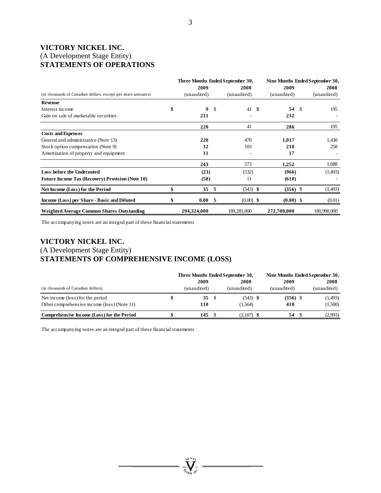# **VICTORY NICKEL INC.**  (A Development Stage Entity) **STATEMENTS OF OPERATIONS**

|                                                              | Three Months Ended September 30, |             |               | Nine Months Ended September 30, |  |             |      |             |
|--------------------------------------------------------------|----------------------------------|-------------|---------------|---------------------------------|--|-------------|------|-------------|
|                                                              |                                  | 2009        |               | 2008                            |  | 2009        |      | 2008        |
| (in thousands of Canadian dollars, except per share amounts) |                                  | (unaudited) |               | (unaudited)                     |  | (unaudited) |      | (unaudited) |
| <b>Revenue</b>                                               |                                  |             |               |                                 |  |             |      |             |
| Interest income                                              | \$                               | 9           | <sup>\$</sup> | $41 \quad$ \$                   |  | 54          | - \$ | 195         |
| Gain on sale of marketable securities                        |                                  | 211         |               |                                 |  | 232         |      |             |
|                                                              |                                  | 220         |               | 41                              |  | 286         |      | 195         |
| <b>Costs and Expenses</b>                                    |                                  |             |               |                                 |  |             |      |             |
| General and administrative (Note 13)                         |                                  | 220         |               | 470                             |  | 1,017       |      | 1,430       |
| Stock option compensation (Note 9)                           |                                  | 12          |               | 103                             |  | 218         |      | 258         |
| Amortization of property and equipment                       |                                  | 11          |               |                                 |  | 17          |      |             |
|                                                              |                                  | 243         |               | 573                             |  | 1,252       |      | 1,688       |
| <b>Loss before the Undernoted</b>                            |                                  | (23)        |               | (532)                           |  | (966)       |      | (1,493)     |
| <b>Future Income Tax (Recovery) Provision (Note 10)</b>      |                                  | (58)        |               | 11                              |  | (610)       |      |             |
| Net Income (Loss) for the Period                             |                                  | 35          | <sup>\$</sup> | $(543)$ \$                      |  | $(356)$ \$  |      | (1,493)     |
| Income (Loss) per Share - Basic and Diluted                  |                                  | 0.00        | <sup>\$</sup> | $(0.00)$ \$                     |  | $(0.00)$ \$ |      | (0.01)      |
| Weighted Average Common Shares Outstanding                   |                                  | 294,324,000 |               | 189,281,000                     |  | 272,708,000 |      | 180,998,000 |

The accompanying notes are an integral part of these financial statements

# **VICTORY NICKEL INC.**  (A Development Stage Entity) **STATEMENTS OF COMPREHENSIVE INCOME (LOSS)**

|                                             | Three Months Ended September 30, |    |              | Nine Months Ended September 30, |             |  |  |
|---------------------------------------------|----------------------------------|----|--------------|---------------------------------|-------------|--|--|
|                                             | 2009                             |    | 2008         | 2009                            | 2008        |  |  |
| (in thousands of Canadian dollars)          | (unaudited)                      |    | (unaudited)  | (unaudited)                     | (unaudited) |  |  |
| Net income (loss) for the period            | 35                               | -S | $(543)$ \$   | $(356)$ \$                      | (1,493)     |  |  |
| Other comprehensive income (loss) (Note 11) | 110                              |    | (1.564)      | 410                             | (1,500)     |  |  |
| Comprehensive Income (Loss) for the Period  | 145                              |    | $(2,107)$ \$ | 54                              | (2,993)     |  |  |

 $\sum_{\gamma_{\text{can}}}$ 

The accompanying notes are an integral part of these financial statements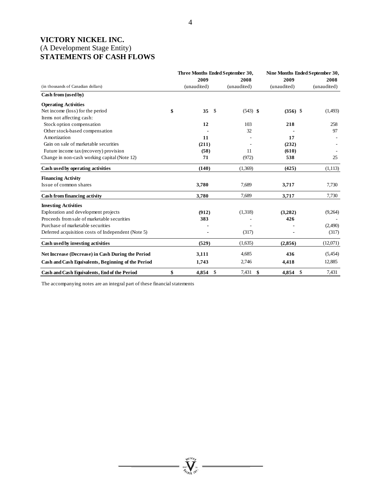# **VICTORY NICKEL INC.**  (A Development Stage Entity) **STATEMENTS OF CASH FLOWS**

|                                                    |             | Three Months Ended September 30, | Nine Months Ended September 30, |             |  |  |
|----------------------------------------------------|-------------|----------------------------------|---------------------------------|-------------|--|--|
|                                                    | 2009        | 2008                             | 2009                            | 2008        |  |  |
| (in thousands of Canadian dollars)                 | (unaudited) | (unaudited)                      | (unaudited)                     | (unaudited) |  |  |
| Cash from (used by)                                |             |                                  |                                 |             |  |  |
| <b>Operating Activities</b>                        |             |                                  |                                 |             |  |  |
| Net income (loss) for the period                   | \$<br>35    | \$<br>$(543)$ \$                 | $(356)$ \$                      | (1,493)     |  |  |
| Items not affecting cash:                          |             |                                  |                                 |             |  |  |
| Stock option compensation                          | 12          | 103                              | 218                             | 258         |  |  |
| Other stock-based compensation                     |             | 32                               |                                 | 97          |  |  |
| Amortization                                       | 11          |                                  | 17                              |             |  |  |
| Gain on sale of marketable securities              | (211)       |                                  | (232)                           |             |  |  |
| Future income tax (recovery) provision             | (58)        | 11                               | (610)                           |             |  |  |
| Change in non-cash working capital (Note 12)       | 71          | (972)                            | 538                             | 25          |  |  |
| Cash used by operating activities                  | (140)       | (1,369)                          | (425)                           | (1,113)     |  |  |
| <b>Financing Activity</b>                          |             |                                  |                                 |             |  |  |
| Issue of common shares                             | 3,780       | 7,689                            | 3,717                           | 7,730       |  |  |
| Cash from financing activity                       | 3,780       | 7,689                            | 3,717                           | 7,730       |  |  |
| <b>Investing Activities</b>                        |             |                                  |                                 |             |  |  |
| Exploration and development projects               | (912)       | (1,318)                          | (3,282)                         | (9,264)     |  |  |
| Proceeds from sale of marketable securities        | 383         |                                  | 426                             |             |  |  |
| Purchase of marketable securities                  |             |                                  |                                 | (2,490)     |  |  |
| Deferred acquisition costs of Independent (Note 5) |             | (317)                            |                                 | (317)       |  |  |
| Cash used by investing activities                  | (529)       | (1,635)                          | (2,856)                         | (12,071)    |  |  |
| Net Increase (Decrease) in Cash During the Period  | 3,111       | 4,685                            | 436                             | (5,454)     |  |  |
| Cash and Cash Equivalents, Beginning of the Period | 1,743       | 2,746                            | 4,418                           | 12,885      |  |  |
| Cash and Cash Equivalents, End of the Period       | \$<br>4.854 | \$<br>7,431<br>\$                | - \$<br>4.854                   | 7,431       |  |  |

**Wellow** 

The accompanying notes are an integral part of these financial statements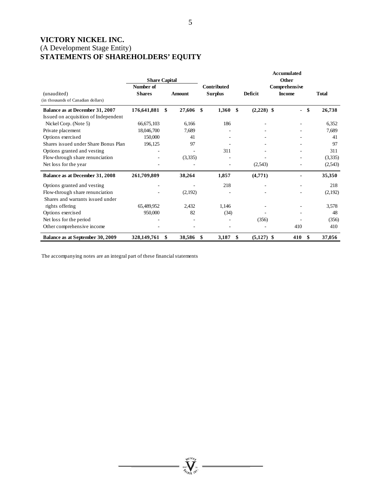# **VICTORY NICKEL INC.**  (A Development Stage Entity) **STATEMENTS OF SHAREHOLDERS' EQUITY**

|                                      |                      |               |                    |                    | Accumulated   |              |
|--------------------------------------|----------------------|---------------|--------------------|--------------------|---------------|--------------|
|                                      | <b>Share Capital</b> |               |                    |                    | Other         |              |
|                                      | Number of            |               | <b>Contributed</b> |                    | Comprehensive |              |
| (unaudited)                          | <b>Shares</b>        | <b>Amount</b> | <b>Surplus</b>     | Deficit            | <b>Income</b> | <b>Total</b> |
| (in thousands of Canadian dollars)   |                      |               |                    |                    |               |              |
| Balance as at December 31, 2007      | 176,641,881          | \$<br>27,606  | \$<br>1,360        | \$<br>$(2,228)$ \$ | \$            | 26,738       |
| Issued on acquisition of Independent |                      |               |                    |                    |               |              |
| Nickel Corp. (Note 5)                | 66,675,103           | 6.166         | 186                |                    |               | 6,352        |
| Private placement                    | 18,046,700           | 7,689         | ۰                  |                    |               | 7,689        |
| Options exercised                    | 150,000              | 41            |                    |                    |               | 41           |
| Shares issued under Share Bonus Plan | 196,125              | 97            |                    |                    |               | 97           |
| Options granted and vesting          |                      |               | 311                |                    |               | 311          |
| Flow-through share renunciation      |                      | (3,335)       |                    |                    |               | (3,335)      |
| Net loss for the year                |                      |               |                    | (2,543)            |               | (2,543)      |
| Balance as at December 31, 2008      | 261,709,809          | 38,264        | 1,857              | (4,771)            |               | 35,350       |
| Options granted and vesting          |                      |               | 218                |                    |               | 218          |
| Flow-through share renunciation      |                      | (2,192)       |                    |                    |               | (2,192)      |
| Shares and warrants issued under     |                      |               |                    |                    |               |              |
| rights offering                      | 65,489,952           | 2,432         | 1,146              |                    |               | 3,578        |
| Options exercised                    | 950,000              | 82            | (34)               |                    |               | 48           |
| Net loss for the period              |                      |               |                    | (356)              |               | (356)        |
| Other comprehensive income           |                      |               |                    |                    | 410           | 410          |
| Balance as at September 30, 2009     | 328,149,761          | \$<br>38,586  | \$<br>3,187        | \$<br>$(5,127)$ \$ | 410<br>\$     | 37,056       |

**William** 

The accompanying notes are an integral part of these financial statements

5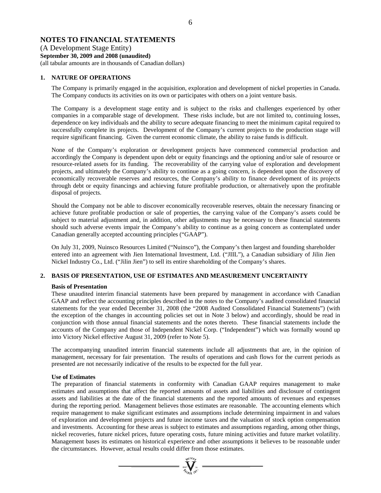### **NOTES TO FINANCIAL STATEMENTS**

(A Development Stage Entity) **September 30, 2009 and 2008 (unaudited)**  (all tabular amounts are in thousands of Canadian dollars)

#### **1. NATURE OF OPERATIONS**

The Company is primarily engaged in the acquisition, exploration and development of nickel properties in Canada. The Company conducts its activities on its own or participates with others on a joint venture basis.

The Company is a development stage entity and is subject to the risks and challenges experienced by other companies in a comparable stage of development. These risks include, but are not limited to, continuing losses, dependence on key individuals and the ability to secure adequate financing to meet the minimum capital required to successfully complete its projects. Development of the Company's current projects to the production stage will require significant financing. Given the current economic climate, the ability to raise funds is difficult.

None of the Company's exploration or development projects have commenced commercial production and accordingly the Company is dependent upon debt or equity financings and the optioning and/or sale of resource or resource-related assets for its funding. The recoverability of the carrying value of exploration and development projects, and ultimately the Company's ability to continue as a going concern, is dependent upon the discovery of economically recoverable reserves and resources, the Company's ability to finance development of its projects through debt or equity financings and achieving future profitable production, or alternatively upon the profitable disposal of projects.

Should the Company not be able to discover economically recoverable reserves, obtain the necessary financing or achieve future profitable production or sale of properties, the carrying value of the Company's assets could be subject to material adjustment and, in addition, other adjustments may be necessary to these financial statements should such adverse events impair the Company's ability to continue as a going concern as contemplated under Canadian generally accepted accounting principles ("GAAP").

On July 31, 2009, Nuinsco Resources Limited ("Nuinsco"), the Company's then largest and founding shareholder entered into an agreement with Jien International Investment, Ltd. ("JIIL"), a Canadian subsidiary of Jilin Jien Nickel Industry Co., Ltd. ("Jilin Jien") to sell its entire shareholding of the Company's shares.

#### **2. BASIS OF PRESENTATION, USE OF ESTIMATES AND MEASUREMENT UNCERTAINTY**

#### **Basis of Presentation**

These unaudited interim financial statements have been prepared by management in accordance with Canadian GAAP and reflect the accounting principles described in the notes to the Company's audited consolidated financial statements for the year ended December 31, 2008 (the "2008 Audited Consolidated Financial Statements") (with the exception of the changes in accounting policies set out in Note 3 below) and accordingly, should be read in conjunction with those annual financial statements and the notes thereto. These financial statements include the accounts of the Company and those of Independent Nickel Corp. ("Independent") which was formally wound up into Victory Nickel effective August 31, 2009 (refer to Note 5).

The accompanying unaudited interim financial statements include all adjustments that are, in the opinion of management, necessary for fair presentation. The results of operations and cash flows for the current periods as presented are not necessarily indicative of the results to be expected for the full year.

#### **Use of Estimates**

The preparation of financial statements in conformity with Canadian GAAP requires management to make estimates and assumptions that affect the reported amounts of assets and liabilities and disclosure of contingent assets and liabilities at the date of the financial statements and the reported amounts of revenues and expenses during the reporting period. Management believes those estimates are reasonable. The accounting elements which require management to make significant estimates and assumptions include determining impairment in and values of exploration and development projects and future income taxes and the valuation of stock option compensation and investments. Accounting for these areas is subject to estimates and assumptions regarding, among other things, nickel recoveries, future nickel prices, future operating costs, future mining activities and future market volatility. Management bases its estimates on historical experience and other assumptions it believes to be reasonable under the circumstances. However, actual results could differ from those estimates.

 $=\sum_{\alpha}$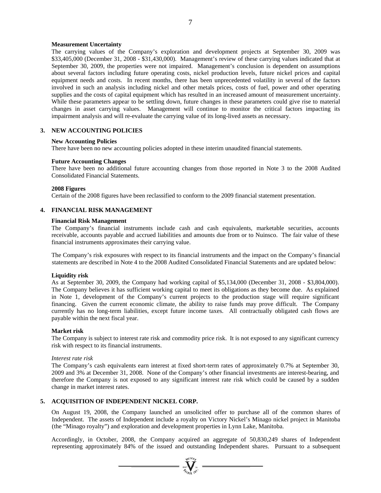7

#### **Measurement Uncertainty**

The carrying values of the Company's exploration and development projects at September 30, 2009 was \$33,405,000 (December 31, 2008 - \$31,430,000). Management's review of these carrying values indicated that at September 30, 2009, the properties were not impaired. Management's conclusion is dependent on assumptions about several factors including future operating costs, nickel production levels, future nickel prices and capital equipment needs and costs. In recent months, there has been unprecedented volatility in several of the factors involved in such an analysis including nickel and other metals prices, costs of fuel, power and other operating supplies and the costs of capital equipment which has resulted in an increased amount of measurement uncertainty. While these parameters appear to be settling down, future changes in these parameters could give rise to material changes in asset carrying values. Management will continue to monitor the critical factors impacting its impairment analysis and will re-evaluate the carrying value of its long-lived assets as necessary.

#### **3. NEW ACCOUNTING POLICIES**

#### **New Accounting Policies**

There have been no new accounting policies adopted in these interim unaudited financial statements.

#### **Future Accounting Changes**

There have been no additional future accounting changes from those reported in Note 3 to the 2008 Audited Consolidated Financial Statements.

#### **2008 Figures**

Certain of the 2008 figures have been reclassified to conform to the 2009 financial statement presentation.

#### **4. FINANCIAL RISK MANAGEMENT**

#### **Financial Risk Management**

The Company's financial instruments include cash and cash equivalents, marketable securities, accounts receivable, accounts payable and accrued liabilities and amounts due from or to Nuinsco. The fair value of these financial instruments approximates their carrying value.

The Company's risk exposures with respect to its financial instruments and the impact on the Company's financial statements are described in Note 4 to the 2008 Audited Consolidated Financial Statements and are updated below:

#### **Liquidity risk**

As at September 30, 2009, the Company had working capital of \$5,134,000 (December 31, 2008 - \$3,804,000). The Company believes it has sufficient working capital to meet its obligations as they become due. As explained in Note 1, development of the Company's current projects to the production stage will require significant financing. Given the current economic climate, the ability to raise funds may prove difficult. The Company currently has no long-term liabilities, except future income taxes. All contractually obligated cash flows are payable within the next fiscal year.

#### **Market risk**

The Company is subject to interest rate risk and commodity price risk. It is not exposed to any significant currency risk with respect to its financial instruments.

#### *Interest rate risk*

The Company's cash equivalents earn interest at fixed short-term rates of approximately 0.7% at September 30, 2009 and 3% at December 31, 2008. None of the Company's other financial investments are interest-bearing, and therefore the Company is not exposed to any significant interest rate risk which could be caused by a sudden change in market interest rates.

#### **5. ACQUISITION OF INDEPENDENT NICKEL CORP.**

On August 19, 2008, the Company launched an unsolicited offer to purchase all of the common shares of Independent. The assets of Independent include a royalty on Victory Nickel's Minago nickel project in Manitoba (the "Minago royalty") and exploration and development properties in Lynn Lake, Manitoba.

Accordingly, in October, 2008, the Company acquired an aggregate of 50,830,249 shares of Independent representing approximately 84% of the issued and outstanding Independent shares. Pursuant to a subsequent

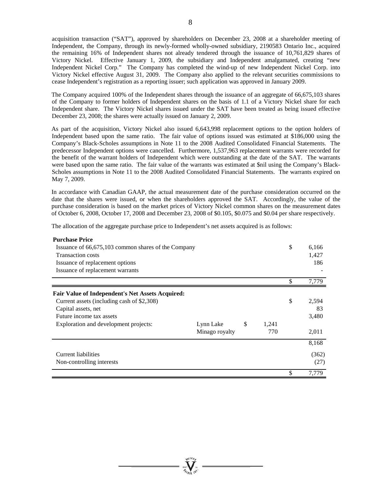acquisition transaction ("SAT"), approved by shareholders on December 23, 2008 at a shareholder meeting of Independent, the Company, through its newly-formed wholly-owned subsidiary, 2190583 Ontario Inc., acquired the remaining 16% of Independent shares not already tendered through the issuance of 10,761,829 shares of Victory Nickel. Effective January 1, 2009, the subsidiary and Independent amalgamated, creating "new Independent Nickel Corp." The Company has completed the wind-up of new Independent Nickel Corp. into Victory Nickel effective August 31, 2009. The Company also applied to the relevant securities commissions to cease Independent's registration as a reporting issuer; such application was approved in January 2009.

The Company acquired 100% of the Independent shares through the issuance of an aggregate of 66,675,103 shares of the Company to former holders of Independent shares on the basis of 1.1 of a Victory Nickel share for each Independent share. The Victory Nickel shares issued under the SAT have been treated as being issued effective December 23, 2008; the shares were actually issued on January 2, 2009.

As part of the acquisition, Victory Nickel also issued 6,643,998 replacement options to the option holders of Independent based upon the same ratio. The fair value of options issued was estimated at \$186,000 using the Company's Black-Scholes assumptions in Note 11 to the 2008 Audited Consolidated Financial Statements. The predecessor Independent options were cancelled. Furthermore, 1,537,963 replacement warrants were recorded for the benefit of the warrant holders of Independent which were outstanding at the date of the SAT. The warrants were based upon the same ratio. The fair value of the warrants was estimated at \$nil using the Company's Black-Scholes assumptions in Note 11 to the 2008 Audited Consolidated Financial Statements. The warrants expired on May 7, 2009.

In accordance with Canadian GAAP, the actual measurement date of the purchase consideration occurred on the date that the shares were issued, or when the shareholders approved the SAT. Accordingly, the value of the purchase consideration is based on the market prices of Victory Nickel common shares on the measurement dates of October 6, 2008, October 17, 2008 and December 23, 2008 of \$0.105, \$0.075 and \$0.04 per share respectively.

The allocation of the aggregate purchase price to Independent's net assets acquired is as follows:

| <b>Purchase Price</b>                                   |                |             |    |       |
|---------------------------------------------------------|----------------|-------------|----|-------|
| Issuance of 66,675,103 common shares of the Company     |                |             | \$ | 6,166 |
| <b>Transaction costs</b>                                |                |             |    | 1,427 |
| Issuance of replacement options                         |                |             |    | 186   |
| Issuance of replacement warrants                        |                |             |    |       |
|                                                         |                |             | \$ | 7,779 |
| <b>Fair Value of Independent's Net Assets Acquired:</b> |                |             |    |       |
| Current assets (including cash of \$2,308)              |                |             | \$ | 2,594 |
| Capital assets, net                                     |                |             |    | 83    |
| Future income tax assets                                |                |             |    | 3,480 |
| Exploration and development projects:                   | Lynn Lake      | \$<br>1,241 |    |       |
|                                                         | Minago royalty | 770         |    | 2,011 |
|                                                         |                |             |    | 8,168 |
| Current liabilities                                     |                |             |    | (362) |
| Non-controlling interests                               |                |             |    | (27)  |
|                                                         |                |             | S  | 7,779 |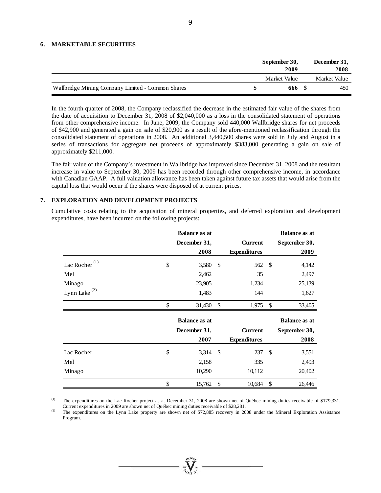#### **6. MARKETABLE SECURITIES**

|                                                   | September 30,<br>2009 | December 31,<br>2008 |
|---------------------------------------------------|-----------------------|----------------------|
|                                                   | Market Value          | Market Value         |
| Wallbridge Mining Company Limited - Common Shares | 666 S                 | 450                  |

In the fourth quarter of 2008, the Company reclassified the decrease in the estimated fair value of the shares from the date of acquisition to December 31, 2008 of \$2,040,000 as a loss in the consolidated statement of operations from other comprehensive income. In June, 2009, the Company sold 440,000 Wallbridge shares for net proceeds of \$42,900 and generated a gain on sale of \$20,900 as a result of the afore-mentioned reclassification through the consolidated statement of operations in 2008. An additional 3,440,500 shares were sold in July and August in a series of transactions for aggregate net proceeds of approximately \$383,000 generating a gain on sale of approximately \$211,000.

The fair value of the Company's investment in Wallbridge has improved since December 31, 2008 and the resultant increase in value to September 30, 2009 has been recorded through other comprehensive income, in accordance with Canadian GAAP. A full valuation allowance has been taken against future tax assets that would arise from the capital loss that would occur if the shares were disposed of at current prices.

#### **7. EXPLORATION AND DEVELOPMENT PROJECTS**

Cumulative costs relating to the acquisition of mineral properties, and deferred exploration and development expenditures, have been incurred on the following projects:

|                           | <b>Balance as at</b> |            |                     |               | <b>Balance as at</b> |
|---------------------------|----------------------|------------|---------------------|---------------|----------------------|
|                           | December 31,         |            | <b>Current</b>      |               | September 30,        |
|                           | 2008                 |            | <b>Expenditures</b> |               | 2009                 |
| Lac Rocher <sup>(1)</sup> | \$<br>3,580          | -\$        | 562 \$              |               | 4,142                |
| Mel                       | 2,462                |            | 35                  |               | 2,497                |
| Minago                    | 23,905               |            | 1,234               |               | 25,139               |
| Lynn Lake <sup>(2)</sup>  | 1,483                |            | 144                 |               | 1,627                |
|                           | \$<br>31,430         | \$         | 1,975               | \$            | 33,405               |
|                           | <b>Balance as at</b> |            |                     |               | <b>Balance as at</b> |
|                           | December 31,         |            | <b>Current</b>      |               | September 30,        |
|                           | 2007                 |            | <b>Expenditures</b> |               | 2008                 |
| Lac Rocher                | \$<br>3,314          | $\sqrt{5}$ | 237                 | $\mathcal{S}$ | 3,551                |
| Mel                       | 2,158                |            | 335                 |               | 2,493                |
| Minago                    | 10,290               |            | 10,112              |               | 20,402               |
|                           |                      |            |                     |               |                      |

The expenditures on the Lac Rocher project as at December 31, 2008 are shown net of Québec mining duties receivable of \$179,331. Current expenditures in 2009 are shown net of Québec mining duties receivable of \$28,281.

 $\degree$  The expenditures on the Lynn Lake property are shown net of \$72,885 recovery in 2008 under the Mineral Exploration Assistance Program.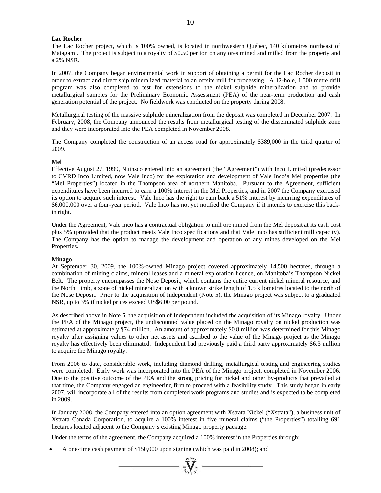#### **Lac Rocher**

The Lac Rocher project, which is 100% owned, is located in northwestern Québec, 140 kilometres northeast of Matagami. The project is subject to a royalty of \$0.50 per ton on any ores mined and milled from the property and a 2% NSR.

In 2007, the Company began environmental work in support of obtaining a permit for the Lac Rocher deposit in order to extract and direct ship mineralized material to an offsite mill for processing. A 12-hole, 1,500 metre drill program was also completed to test for extensions to the nickel sulphide mineralization and to provide metallurgical samples for the Preliminary Economic Assessment (PEA) of the near-term production and cash generation potential of the project. No fieldwork was conducted on the property during 2008.

Metallurgical testing of the massive sulphide mineralization from the deposit was completed in December 2007. In February, 2008, the Company announced the results from metallurgical testing of the disseminated sulphide zone and they were incorporated into the PEA completed in November 2008.

The Company completed the construction of an access road for approximately \$389,000 in the third quarter of 2009.

#### **Mel**

Effective August 27, 1999, Nuinsco entered into an agreement (the "Agreement") with Inco Limited (predecessor to CVRD Inco Limited, now Vale Inco) for the exploration and development of Vale Inco's Mel properties (the "Mel Properties") located in the Thompson area of northern Manitoba. Pursuant to the Agreement, sufficient expenditures have been incurred to earn a 100% interest in the Mel Properties, and in 2007 the Company exercised its option to acquire such interest. Vale Inco has the right to earn back a 51% interest by incurring expenditures of \$6,000,000 over a four-year period. Vale Inco has not yet notified the Company if it intends to exercise this backin right.

Under the Agreement, Vale Inco has a contractual obligation to mill ore mined from the Mel deposit at its cash cost plus 5% (provided that the product meets Vale Inco specifications and that Vale Inco has sufficient mill capacity). The Company has the option to manage the development and operation of any mines developed on the Mel Properties.

#### **Minago**

At September 30, 2009, the 100%-owned Minago project covered approximately 14,500 hectares, through a combination of mining claims, mineral leases and a mineral exploration licence, on Manitoba's Thompson Nickel Belt. The property encompasses the Nose Deposit, which contains the entire current nickel mineral resource, and the North Limb, a zone of nickel mineralization with a known strike length of 1.5 kilometres located to the north of the Nose Deposit. Prior to the acquisition of Independent (Note 5), the Minago project was subject to a graduated NSR, up to 3% if nickel prices exceed US\$6.00 per pound.

As described above in Note 5, the acquisition of Independent included the acquisition of its Minago royalty. Under the PEA of the Minago project, the undiscounted value placed on the Minago royalty on nickel production was estimated at approximately \$74 million. An amount of approximately \$0.8 million was determined for this Minago royalty after assigning values to other net assets and ascribed to the value of the Minago project as the Minago royalty has effectively been eliminated. Independent had previously paid a third party approximately \$6.3 million to acquire the Minago royalty.

From 2006 to date, considerable work, including diamond drilling, metallurgical testing and engineering studies were completed. Early work was incorporated into the PEA of the Minago project, completed in November 2006. Due to the positive outcome of the PEA and the strong pricing for nickel and other by-products that prevailed at that time, the Company engaged an engineering firm to proceed with a feasibility study. This study began in early 2007, will incorporate all of the results from completed work programs and studies and is expected to be completed in 2009.

In January 2008, the Company entered into an option agreement with Xstrata Nickel ("Xstrata"), a business unit of Xstrata Canada Corporation, to acquire a 100% interest in five mineral claims ("the Properties") totalling 691 hectares located adjacent to the Company's existing Minago property package.

Under the terms of the agreement, the Company acquired a 100% interest in the Properties through:

• A one-time cash payment of \$150,000 upon signing (which was paid in 2008); and

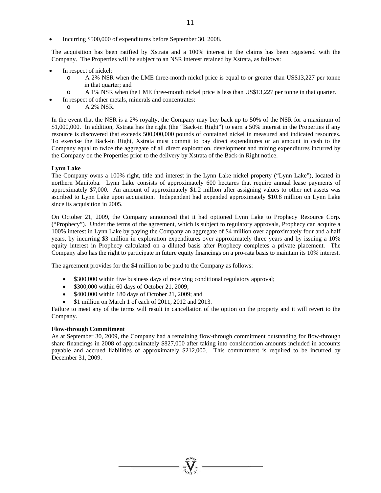• Incurring \$500,000 of expenditures before September 30, 2008.

The acquisition has been ratified by Xstrata and a 100% interest in the claims has been registered with the Company. The Properties will be subject to an NSR interest retained by Xstrata, as follows:

- In respect of nickel:
	- o A 2% NSR when the LME three-month nickel price is equal to or greater than US\$13,227 per tonne in that quarter; and
	- o A 1% NSR when the LME three-month nickel price is less than US\$13,227 per tonne in that quarter.
	- In respect of other metals, minerals and concentrates:
	- o A 2% NSR.

In the event that the NSR is a 2% royalty, the Company may buy back up to 50% of the NSR for a maximum of \$1,000,000. In addition, Xstrata has the right (the "Back-in Right") to earn a 50% interest in the Properties if any resource is discovered that exceeds 500,000,000 pounds of contained nickel in measured and indicated resources. To exercise the Back-in Right, Xstrata must commit to pay direct expenditures or an amount in cash to the Company equal to twice the aggregate of all direct exploration, development and mining expenditures incurred by the Company on the Properties prior to the delivery by Xstrata of the Back-in Right notice.

#### **Lynn Lake**

The Company owns a 100% right, title and interest in the Lynn Lake nickel property ("Lynn Lake"), located in northern Manitoba. Lynn Lake consists of approximately 600 hectares that require annual lease payments of approximately \$7,000. An amount of approximately \$1.2 million after assigning values to other net assets was ascribed to Lynn Lake upon acquisition. Independent had expended approximately \$10.8 million on Lynn Lake since its acquisition in 2005.

On October 21, 2009, the Company announced that it had optioned Lynn Lake to Prophecy Resource Corp. ("Prophecy"). Under the terms of the agreement, which is subject to regulatory approvals, Prophecy can acquire a 100% interest in Lynn Lake by paying the Company an aggregate of \$4 million over approximately four and a half years, by incurring \$3 million in exploration expenditures over approximately three years and by issuing a 10% equity interest in Prophecy calculated on a diluted basis after Prophecy completes a private placement. The Company also has the right to participate in future equity financings on a pro-rata basis to maintain its 10% interest.

The agreement provides for the \$4 million to be paid to the Company as follows:

- \$300,000 within five business days of receiving conditional regulatory approval;
- \$300,000 within 60 days of October 21, 2009;
- \$400,000 within 180 days of October 21, 2009; and
- \$1 million on March 1 of each of 2011, 2012 and 2013.

Failure to meet any of the terms will result in cancellation of the option on the property and it will revert to the Company.

#### **Flow-through Commitment**

As at September 30, 2009, the Company had a remaining flow-through commitment outstanding for flow-through share financings in 2008 of approximately \$827,000 after taking into consideration amounts included in accounts payable and accrued liabilities of approximately \$212,000. This commitment is required to be incurred by December 31, 2009.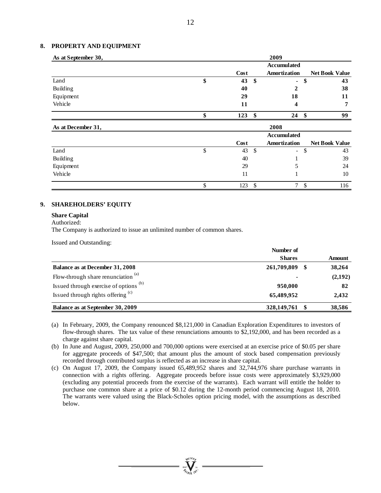#### **8. PROPERTY AND EQUIPMENT**

| As at September 30, |           |              | 2009                |      |                       |
|---------------------|-----------|--------------|---------------------|------|-----------------------|
|                     |           |              | <b>Accumulated</b>  |      |                       |
|                     | Cost      |              | Amortization        |      | <b>Net Book Value</b> |
| Land                | \$<br>43  | \$           | $\blacksquare$      | \$   | 43                    |
| Building            | 40        |              | 2                   |      | 38                    |
| Equipment           | 29        |              | 18                  |      | 11                    |
| Vehicle             | 11        |              | 4                   |      | 7                     |
|                     | \$<br>123 | \$           | 24                  | - \$ | 99                    |
| As at December 31,  |           |              | 2008                |      |                       |
|                     |           |              | <b>Accumulated</b>  |      |                       |
|                     | Cost      |              | <b>Amortization</b> |      | <b>Net Book Value</b> |
| Land                | \$<br>43  | $\mathbb{S}$ | $\blacksquare$      | \$   | 43                    |
| Building            | 40        |              |                     |      | 39                    |
| Equipment           | 29        |              | 5                   |      | 24                    |
| Vehicle             | 11        |              |                     |      | 10                    |
|                     | \$<br>123 | \$           | $\mathcal{I}$       | \$   | 116                   |

#### **9. SHAREHOLDERS' EQUITY**

#### **Share Capital**

Authorized:

The Company is authorized to issue an unlimited number of common shares.

Issued and Outstanding:

|                                        | Number of      |  |         |
|----------------------------------------|----------------|--|---------|
|                                        | <b>Shares</b>  |  | Amount  |
| <b>Balance as at December 31, 2008</b> | 261,709,809    |  | 38,264  |
| Flow-through share renunciation $(a)$  | $\blacksquare$ |  | (2,192) |
| Issued through exercise of options (b) | 950,000        |  | 82      |
| Issued through rights offering (c)     | 65,489,952     |  | 2,432   |
| Balance as at September 30, 2009       | 328,149,761    |  | 38,586  |

(a) In February, 2009, the Company renounced \$8,121,000 in Canadian Exploration Expenditures to investors of flow-through shares. The tax value of these renunciations amounts to \$2,192,000, and has been recorded as a charge against share capital.

(b) In June and August, 2009, 250,000 and 700,000 options were exercised at an exercise price of \$0.05 per share for aggregate proceeds of \$47,500; that amount plus the amount of stock based compensation previously recorded through contributed surplus is reflected as an increase in share capital.

(c) On August 17, 2009, the Company issued 65,489,952 shares and 32,744,976 share purchase warrants in connection with a rights offering. Aggregate proceeds before issue costs were approximately \$3,929,000 (excluding any potential proceeds from the exercise of the warrants). Each warrant will entitle the holder to purchase one common share at a price of \$0.12 during the 12-month period commencing August 18, 2010. The warrants were valued using the Black-Scholes option pricing model, with the assumptions as described below.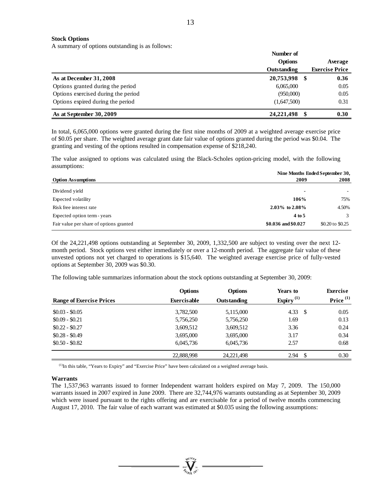13

#### **Stock Options**

A summary of options outstanding is as follows:

|                                     | Number of          |                       |  |  |
|-------------------------------------|--------------------|-----------------------|--|--|
|                                     | Options            | Average               |  |  |
|                                     | <b>Outstanding</b> | <b>Exercise Price</b> |  |  |
| As at December 31, 2008             | 20,753,998<br>S    | 0.36                  |  |  |
| Options granted during the period   | 6,065,000          | 0.05                  |  |  |
| Options exercised during the period | (950,000)          | 0.05                  |  |  |
| Options expired during the period   | (1,647,500)        | 0.31                  |  |  |
| As at September 30, 2009            | 24, 221, 498       | 0.30                  |  |  |

In total, 6,065,000 options were granted during the first nine months of 2009 at a weighted average exercise price of \$0.05 per share. The weighted average grant date fair value of options granted during the period was \$0.04. The granting and vesting of the options resulted in compensation expense of \$218,240.

The value assigned to options was calculated using the Black-Scholes option-pricing model, with the following assumptions:

|                                         |                     | Nine Months Ended September 30, |
|-----------------------------------------|---------------------|---------------------------------|
| <b>Option Assumptions</b>               | 2009                | 2008                            |
| Dividend yield                          | $\blacksquare$      |                                 |
| Expected volatility                     | 106%                | 75%                             |
| Risk free interest rate                 | 2.03% to $2.08\%$   | 4.50%                           |
| Expected option term - years            | 4 to 5              | $\mathcal{R}$                   |
| Fair value per share of options granted | \$0.036 and \$0.027 | \$0.20 to \$0.25                |

Of the 24,221,498 options outstanding at September 30, 2009, 1,332,500 are subject to vesting over the next 12 month period. Stock options vest either immediately or over a 12-month period. The aggregate fair value of these unvested options not yet charged to operations is \$15,640. The weighted average exercise price of fully-vested options at September 30, 2009 was \$0.30.

The following table summarizes information about the stock options outstanding at September 30, 2009:

|                                 | <b>Options</b>     | <b>Options</b>     | Years to        | <b>Exercise</b> |
|---------------------------------|--------------------|--------------------|-----------------|-----------------|
| <b>Range of Exercise Prices</b> | <b>Exercisable</b> | <b>Outstanding</b> | Expiry $^{(1)}$ | Price $(1)$     |
| $$0.03 - $0.05$                 | 3,782,500          | 5,115,000          | 4.33<br>-S      | 0.05            |
| $$0.09 - $0.21$                 | 5,756,250          | 5,756,250          | 1.69            | 0.13            |
| $$0.22 - $0.27$                 | 3,609,512          | 3,609,512          | 3.36            | 0.24            |
| $$0.28 - $0.49$                 | 3,695,000          | 3,695,000          | 3.17            | 0.34            |
| $$0.50 - $0.82$$                | 6,045,736          | 6,045,736          | 2.57            | 0.68            |
|                                 | 22,888,998         | 24, 221, 498       | 2.94            | 0.30            |

(1)In this table, "Years to Expiry" and "Exercise Price" have been calculated on a weighted average basis.

#### **Warrants**

The 1,537,963 warrants issued to former Independent warrant holders expired on May 7, 2009. The 150,000 warrants issued in 2007 expired in June 2009. There are 32,744,976 warrants outstanding as at September 30, 2009 which were issued pursuant to the rights offering and are exercisable for a period of twelve months commencing August 17, 2010. The fair value of each warrant was estimated at \$0.035 using the following assumptions: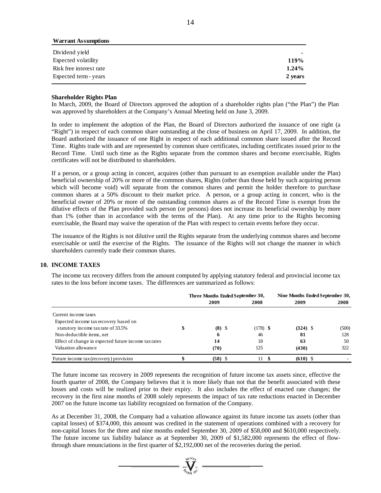| <b>Warrant Assumptions</b> |          |
|----------------------------|----------|
| Dividend yield             | -        |
| Expected volatility        | 119%     |
| Risk free interest rate    | $1.24\%$ |
| Expected term - years      | 2 years  |

#### **Shareholder Rights Plan**

In March, 2009, the Board of Directors approved the adoption of a shareholder rights plan ("the Plan") the Plan was approved by shareholders at the Company's Annual Meeting held on June 3, 2009.

In order to implement the adoption of the Plan, the Board of Directors authorized the issuance of one right (a "Right") in respect of each common share outstanding at the close of business on April 17, 2009. In addition, the Board authorized the issuance of one Right in respect of each additional common share issued after the Record Time. Rights trade with and are represented by common share certificates, including certificates issued prior to the Record Time. Until such time as the Rights separate from the common shares and become exercisable, Rights certificates will not be distributed to shareholders.

If a person, or a group acting in concert, acquires (other than pursuant to an exemption available under the Plan) beneficial ownership of 20% or more of the common shares, Rights (other than those held by such acquiring person which will become void) will separate from the common shares and permit the holder therefore to purchase common shares at a 50% discount to their market price. A person, or a group acting in concert, who is the beneficial owner of 20% or more of the outstanding common shares as of the Record Time is exempt from the dilutive effects of the Plan provided such person (or persons) does not increase its beneficial ownership by more than 1% (other than in accordance with the terms of the Plan). At any time prior to the Rights becoming exercisable, the Board may waive the operation of the Plan with respect to certain events before they occur.

The issuance of the Rights is not dilutive until the Rights separate from the underlying common shares and become exercisable or until the exercise of the Rights. The issuance of the Rights will not change the manner in which shareholders currently trade their common shares.

#### **10. INCOME TAXES**

The income tax recovery differs from the amount computed by applying statutory federal and provincial income tax rates to the loss before income taxes. The differences are summarized as follows:

|                                                      | Three Months Ended September 30, |           |  |            |  | Nine Months Ended September 30, |       |  |
|------------------------------------------------------|----------------------------------|-----------|--|------------|--|---------------------------------|-------|--|
|                                                      |                                  | 2009      |  | 2008       |  | 2009                            | 2008  |  |
| Current income taxes                                 |                                  |           |  |            |  |                                 |       |  |
| Expected income tax recovery based on                |                                  |           |  |            |  |                                 |       |  |
| statutory income tax rate of 33.5%                   |                                  | $(8)$ \$  |  | $(178)$ \$ |  | $(324)$ \$                      | (500) |  |
| Non-deductible items, net                            |                                  | 6         |  | 46         |  | 81                              | 128   |  |
| Effect of change in expected future income tax rates |                                  | 14        |  | 18         |  | 63                              | 50    |  |
| Valuation allowance                                  |                                  | (70)      |  | 125        |  | (430)                           | 322   |  |
| Future income tax (recovery) provision               |                                  | $(58)$ \$ |  | 11         |  | $(610)$ \$                      |       |  |

The future income tax recovery in 2009 represents the recognition of future income tax assets since, effective the fourth quarter of 2008, the Company believes that it is more likely than not that the benefit associated with these losses and costs will be realized prior to their expiry. It also includes the effect of enacted rate changes; the recovery in the first nine months of 2008 solely represents the impact of tax rate reductions enacted in December 2007 on the future income tax liability recognized on formation of the Company.

As at December 31, 2008, the Company had a valuation allowance against its future income tax assets (other than capital losses) of \$374,000, this amount was credited in the statement of operations combined with a recovery for non-capital losses for the three and nine months ended September 30, 2009 of \$58,000 and \$610,000 respectively. The future income tax liability balance as at September 30, 2009 of \$1,582,000 represents the effect of flowthrough share renunciations in the first quarter of \$2,192,000 net of the recoveries during the period.

 $\sum_{\alpha}$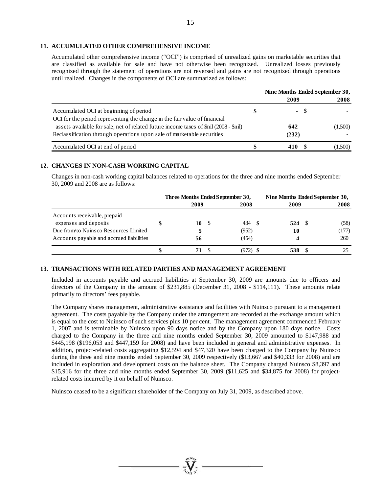#### **11. ACCUMULATED OTHER COMPREHENSIVE INCOME**

Accumulated other comprehensive income ("OCI") is comprised of unrealized gains on marketable securities that are classified as available for sale and have not otherwise been recognized. Unrealized losses previously recognized through the statement of operations are not reversed and gains are not recognized through operations until realized. Changes in the components of OCI are summarized as follows:

|                                                                                       | Nine Months Ended September 30, |       |         |
|---------------------------------------------------------------------------------------|---------------------------------|-------|---------|
|                                                                                       | 2009                            |       | 2008    |
| Accumulated OCI at beginning of period                                                |                                 | $- S$ |         |
| OCI for the period representing the change in the fair value of financial             |                                 |       |         |
| assets available for sale, net of related future income taxes of \$nil (2008 - \$nil) | 642                             |       | (1,500) |
| Reclassification through operations upon sale of marketable securities                | (232)                           |       |         |
| Accumulated OCI at end of period                                                      | 410                             |       | (1,500) |

#### **12. CHANGES IN NON-CASH WORKING CAPITAL**

Changes in non-cash working capital balances related to operations for the three and nine months ended September 30, 2009 and 2008 are as follows:

|                                          |      | Three Months Ended September 30, |             | Nine Months Ended September 30, |  |  |  |
|------------------------------------------|------|----------------------------------|-------------|---------------------------------|--|--|--|
|                                          | 2009 | 2008                             | 2009        | 2008                            |  |  |  |
| Accounts receivable, prepaid             |      |                                  |             |                                 |  |  |  |
| expenses and deposits                    | 10   | 434<br>- S                       | 524<br>- \$ | (58)                            |  |  |  |
| Due from/to Nuinsco Resources Limited    |      | (952)                            | 10          | (177)                           |  |  |  |
| Accounts payable and accrued liabilities | 56   | (454)                            |             | 260                             |  |  |  |
|                                          |      | (972)                            | 538         |                                 |  |  |  |

#### **13. TRANSACTIONS WITH RELATED PARTIES AND MANAGEMENT AGREEMENT**

Included in accounts payable and accrued liabilities at September 30, 2009 are amounts due to officers and directors of the Company in the amount of \$231,885 (December 31, 2008 - \$114,111). These amounts relate primarily to directors' fees payable.

The Company shares management, administrative assistance and facilities with Nuinsco pursuant to a management agreement. The costs payable by the Company under the arrangement are recorded at the exchange amount which is equal to the cost to Nuinsco of such services plus 10 per cent. The management agreement commenced February 1, 2007 and is terminable by Nuinsco upon 90 days notice and by the Company upon 180 days notice. Costs charged to the Company in the three and nine months ended September 30, 2009 amounted to \$147,988 and \$445,198 (\$196,053 and \$447,159 for 2008) and have been included in general and administrative expenses. In addition, project-related costs aggregating \$12,594 and \$47,320 have been charged to the Company by Nuinsco during the three and nine months ended September 30, 2009 respectively (\$13,667 and \$40,333 for 2008) and are included in exploration and development costs on the balance sheet. The Company charged Nuinsco \$8,397 and \$15,916 for the three and nine months ended September 30, 2009 (\$11,625 and \$34,875 for 2008) for projectrelated costs incurred by it on behalf of Nuinsco.

Nuinsco ceased to be a significant shareholder of the Company on July 31, 2009, as described above.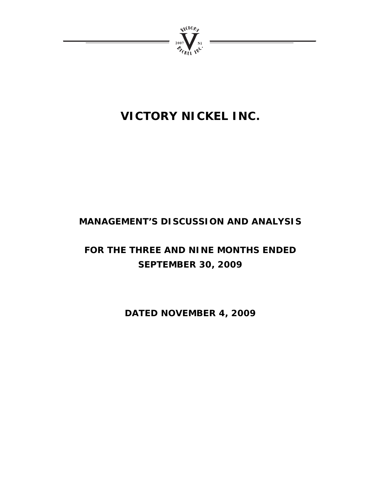

# **VICTORY NICKEL INC.**

# **MANAGEMENT'S DISCUSSION AND ANALYSIS**

# **FOR THE THREE AND NINE MONTHS ENDED SEPTEMBER 30, 2009**

**DATED NOVEMBER 4, 2009**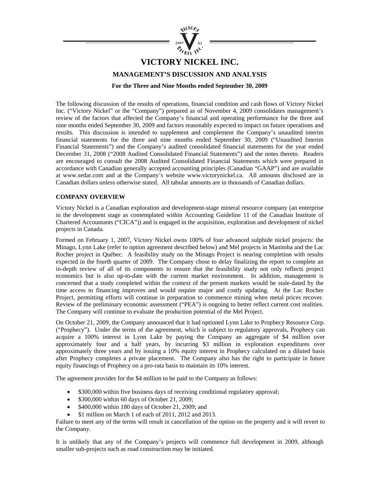

# **VICTORY NICKEL INC.**

**MANAGEMENT'S DISCUSSION AND ANALYSIS** 

**For the Three and Nine Months ended September 30, 2009** 

The following discussion of the results of operations, financial condition and cash flows of Victory Nickel Inc. ("Victory Nickel" or the "Company") prepared as of November 4, 2009 consolidates management's review of the factors that affected the Company's financial and operating performance for the three and nine months ended September 30, 2009 and factors reasonably expected to impact on future operations and results. This discussion is intended to supplement and complement the Company's unaudited interim financial statements for the three and nine months ended September 30, 2009 ("Unaudited Interim Financial Statements") and the Company's audited consolidated financial statements for the year ended December 31, 2008 ("2008 Audited Consolidated Financial Statements") and the notes thereto. Readers are encouraged to consult the 2008 Audited Consolidated Financial Statements which were prepared in accordance with Canadian generally accepted accounting principles (Canadian "GAAP") and are available at www.sedar.com and at the Company's website www.victorynickel.ca. All amounts disclosed are in Canadian dollars unless otherwise stated. All tabular amounts are in thousands of Canadian dollars.

#### **COMPANY OVERVIEW**

Victory Nickel is a Canadian exploration and development-stage mineral resource company (an enterprise in the development stage as contemplated within Accounting Guideline 11 of the Canadian Institute of Chartered Accountants ("CICA")) and is engaged in the acquisition, exploration and development of nickel projects in Canada.

Formed on February 1, 2007, Victory Nickel owns 100% of four advanced sulphide nickel projects: the Minago, Lynn Lake (refer to option agreement described below) and Mel projects in Manitoba and the Lac Rocher project in Québec. A feasibility study on the Minago Project is nearing completion with results expected in the fourth quarter of 2009. The Company chose to delay finalizing the report to complete an in-depth review of all of its components to ensure that the feasibility study not only reflects project economics but is also up-to-date with the current market environment. In addition, management is concerned that a study completed within the context of the present markets would be stale-dated by the time access to financing improves and would require major and costly updating. At the Lac Rocher Project, permitting efforts will continue in preparation to commence mining when metal prices recover. Review of the preliminary economic assessment ("PEA") is ongoing to better reflect current cost realities. The Company will continue to evaluate the production potential of the Mel Project.

On October 21, 2009, the Company announced that it had optioned Lynn Lake to Prophecy Resource Corp. ("Prophecy"). Under the terms of the agreement, which is subject to regulatory approvals, Prophecy can acquire a 100% interest in Lynn Lake by paying the Company an aggregate of \$4 million over approximately four and a half years, by incurring \$3 million in exploration expenditures over approximately three years and by issuing a 10% equity interest in Prophecy calculated on a diluted basis after Prophecy completes a private placement. The Company also has the right to participate in future equity financings of Prophecy on a pro-rata basis to maintain its 10% interest.

The agreement provides for the \$4 million to be paid to the Company as follows:

- \$300,000 within five business days of receiving conditional regulatory approval;
- \$300,000 within 60 days of October 21, 2009;
- \$400,000 within 180 days of October 21, 2009; and
- \$1 million on March 1 of each of 2011, 2012 and 2013.

Failure to meet any of the terms will result in cancellation of the option on the property and it will revert to the Company.

It is unlikely that any of the Company's projects will commence full development in 2009, although smaller sub-projects such as road construction may be initiated.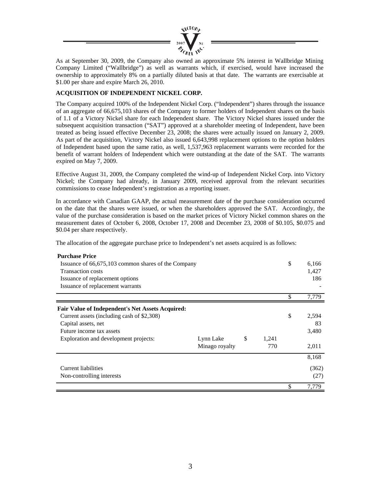

As at September 30, 2009, the Company also owned an approximate 5% interest in Wallbridge Mining Company Limited ("Wallbridge") as well as warrants which, if exercised, would have increased the ownership to approximately 8% on a partially diluted basis at that date. The warrants are exercisable at \$1.00 per share and expire March 26, 2010.

#### **ACQUISITION OF INDEPENDENT NICKEL CORP.**

The Company acquired 100% of the Independent Nickel Corp. ("Independent") shares through the issuance of an aggregate of 66,675,103 shares of the Company to former holders of Independent shares on the basis of 1.1 of a Victory Nickel share for each Independent share. The Victory Nickel shares issued under the subsequent acquisition transaction ("SAT") approved at a shareholder meeting of Independent, have been treated as being issued effective December 23, 2008; the shares were actually issued on January 2, 2009. As part of the acquisition, Victory Nickel also issued 6,643,998 replacement options to the option holders of Independent based upon the same ratio, as well, 1,537,963 replacement warrants were recorded for the benefit of warrant holders of Independent which were outstanding at the date of the SAT. The warrants expired on May 7, 2009.

Effective August 31, 2009, the Company completed the wind-up of Independent Nickel Corp. into Victory Nickel; the Company had already, in January 2009, received approval from the relevant securities commissions to cease Independent's registration as a reporting issuer.

In accordance with Canadian GAAP, the actual measurement date of the purchase consideration occurred on the date that the shares were issued, or when the shareholders approved the SAT. Accordingly, the value of the purchase consideration is based on the market prices of Victory Nickel common shares on the measurement dates of October 6, 2008, October 17, 2008 and December 23, 2008 of \$0.105, \$0.075 and \$0.04 per share respectively.

The allocation of the aggregate purchase price to Independent's net assets acquired is as follows:

| <b>Purchase Price</b>                                   |                |               |       |             |
|---------------------------------------------------------|----------------|---------------|-------|-------------|
| Issuance of 66,675,103 common shares of the Company     |                |               |       | \$<br>6,166 |
| <b>Transaction costs</b>                                |                |               |       | 1,427       |
| Issuance of replacement options                         |                |               |       | 186         |
| Issuance of replacement warrants                        |                |               |       |             |
|                                                         |                |               |       | \$<br>7,779 |
| <b>Fair Value of Independent's Net Assets Acquired:</b> |                |               |       |             |
| Current assets (including cash of \$2,308)              |                |               |       | \$<br>2,594 |
| Capital assets, net                                     |                |               |       | 83          |
| Future income tax assets                                |                |               |       | 3,480       |
| Exploration and development projects:                   | Lynn Lake      | <sup>\$</sup> | 1,241 |             |
|                                                         | Minago royalty |               | 770   | 2,011       |
|                                                         |                |               |       | 8,168       |
| <b>Current liabilities</b>                              |                |               |       | (362)       |
| Non-controlling interests                               |                |               |       | (27)        |
|                                                         |                |               |       | \$<br>7,779 |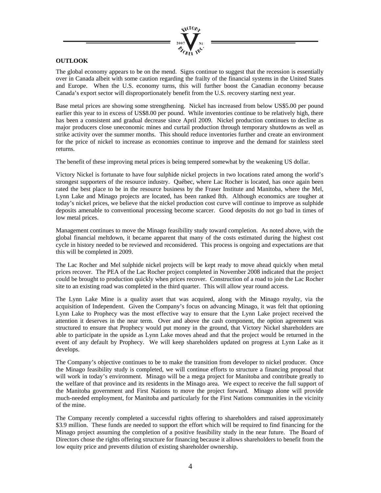

#### **OUTLOOK**

The global economy appears to be on the mend. Signs continue to suggest that the recession is essentially over in Canada albeit with some caution regarding the frailty of the financial systems in the United States and Europe. When the U.S. economy turns, this will further boost the Canadian economy because Canada's export sector will disproportionately benefit from the U.S. recovery starting next year.

Base metal prices are showing some strengthening. Nickel has increased from below US\$5.00 per pound earlier this year to in excess of US\$8.00 per pound. While inventories continue to be relatively high, there has been a consistent and gradual decrease since April 2009. Nickel production continues to decline as major producers close uneconomic mines and curtail production through temporary shutdowns as well as strike activity over the summer months. This should reduce inventories further and create an environment for the price of nickel to increase as economies continue to improve and the demand for stainless steel returns.

The benefit of these improving metal prices is being tempered somewhat by the weakening US dollar.

Victory Nickel is fortunate to have four sulphide nickel projects in two locations rated among the world's strongest supporters of the resource industry. Québec, where Lac Rocher is located, has once again been rated the best place to be in the resource business by the Fraser Institute and Manitoba, where the Mel, Lynn Lake and Minago projects are located, has been ranked 8th. Although economics are tougher at today's nickel prices, we believe that the nickel production cost curve will continue to improve as sulphide deposits amenable to conventional processing become scarcer. Good deposits do not go bad in times of low metal prices.

Management continues to move the Minago feasibility study toward completion. As noted above, with the global financial meltdown, it became apparent that many of the costs estimated during the highest cost cycle in history needed to be reviewed and reconsidered. This process is ongoing and expectations are that this will be completed in 2009.

The Lac Rocher and Mel sulphide nickel projects will be kept ready to move ahead quickly when metal prices recover. The PEA of the Lac Rocher project completed in November 2008 indicated that the project could be brought to production quickly when prices recover. Construction of a road to join the Lac Rocher site to an existing road was completed in the third quarter. This will allow year round access.

The Lynn Lake Mine is a quality asset that was acquired, along with the Minago royalty, via the acquisition of Independent. Given the Company's focus on advancing Minago, it was felt that optioning Lynn Lake to Prophecy was the most effective way to ensure that the Lynn Lake project received the attention it deserves in the near term. Over and above the cash component, the option agreement was structured to ensure that Prophecy would put money in the ground, that Victory Nickel shareholders are able to participate in the upside as Lynn Lake moves ahead and that the project would be returned in the event of any default by Prophecy. We will keep shareholders updated on progress at Lynn Lake as it develops.

The Company's objective continues to be to make the transition from developer to nickel producer. Once the Minago feasibility study is completed, we will continue efforts to structure a financing proposal that will work in today's environment. Minago will be a mega project for Manitoba and contribute greatly to the welfare of that province and its residents in the Minago area. We expect to receive the full support of the Manitoba government and First Nations to move the project forward. Minago alone will provide much-needed employment, for Manitoba and particularly for the First Nations communities in the vicinity of the mine.

The Company recently completed a successful rights offering to shareholders and raised approximately \$3.9 million. These funds are needed to support the effort which will be required to find financing for the Minago project assuming the completion of a positive feasibility study in the near future. The Board of Directors chose the rights offering structure for financing because it allows shareholders to benefit from the low equity price and prevents dilution of existing shareholder ownership.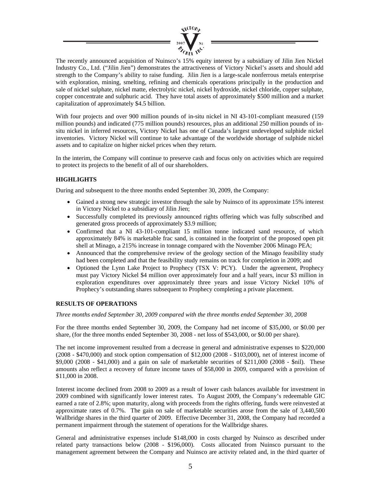

The recently announced acquisition of Nuinsco's 15% equity interest by a subsidiary of Jilin Jien Nickel Industry Co., Ltd. ("Jilin Jien") demonstrates the attractiveness of Victory Nickel's assets and should add strength to the Company's ability to raise funding. Jilin Jien is a large-scale nonferrous metals enterprise with exploration, mining, smelting, refining and chemicals operations principally in the production and sale of nickel sulphate, nickel matte, electrolytic nickel, nickel hydroxide, nickel chloride, copper sulphate, copper concentrate and sulphuric acid. They have total assets of approximately \$500 million and a market capitalization of approximately \$4.5 billion.

With four projects and over 900 million pounds of in-situ nickel in NI 43-101-compliant measured (159 million pounds) and indicated (775 million pounds) resources, plus an additional 250 million pounds of insitu nickel in inferred resources, Victory Nickel has one of Canada's largest undeveloped sulphide nickel inventories. Victory Nickel will continue to take advantage of the worldwide shortage of sulphide nickel assets and to capitalize on higher nickel prices when they return.

In the interim, the Company will continue to preserve cash and focus only on activities which are required to protect its projects to the benefit of all of our shareholders.

#### **HIGHLIGHTS**

During and subsequent to the three months ended September 30, 2009, the Company:

- Gained a strong new strategic investor through the sale by Nuinsco of its approximate 15% interest in Victory Nickel to a subsidiary of Jilin Jien;
- Successfully completed its previously announced rights offering which was fully subscribed and generated gross proceeds of approximately \$3.9 million;
- Confirmed that a NI 43-101-compliant 15 million tonne indicated sand resource, of which approximately 84% is marketable frac sand, is contained in the footprint of the proposed open pit shell at Minago, a 215% increase in tonnage compared with the November 2006 Minago PEA;
- Announced that the comprehensive review of the geology section of the Minago feasibility study had been completed and that the feasibility study remains on track for completion in 2009; and
- Optioned the Lynn Lake Project to Prophecy (TSX V: PCY). Under the agreement, Prophecy must pay Victory Nickel \$4 million over approximately four and a half years, incur \$3 million in exploration expenditures over approximately three years and issue Victory Nickel 10% of Prophecy's outstanding shares subsequent to Prophecy completing a private placement.

#### **RESULTS OF OPERATIONS**

*Three months ended September 30, 2009 compared with the three months ended September 30, 2008* 

For the three months ended September 30, 2009, the Company had net income of \$35,000, or \$0.00 per share, (for the three months ended September 30, 2008 - net loss of \$543,000, or \$0.00 per share).

The net income improvement resulted from a decrease in general and administrative expenses to \$220,000 (2008 - \$470,000) and stock option compensation of \$12,000 (2008 - \$103,000), net of interest income of \$9,000 (2008 - \$41,000) and a gain on sale of marketable securities of \$211,000 (2008 - \$nil). These amounts also reflect a recovery of future income taxes of \$58,000 in 2009, compared with a provision of \$11,000 in 2008.

Interest income declined from 2008 to 2009 as a result of lower cash balances available for investment in 2009 combined with significantly lower interest rates. To August 2009, the Company's redeemable GIC earned a rate of 2.8%; upon maturity, along with proceeds from the rights offering, funds were reinvested at approximate rates of 0.7%. The gain on sale of marketable securities arose from the sale of 3,440,500 Wallbridge shares in the third quarter of 2009. Effective December 31, 2008, the Company had recorded a permanent impairment through the statement of operations for the Wallbridge shares.

General and administrative expenses include \$148,000 in costs charged by Nuinsco as described under related party transactions below (2008 - \$196,000). Costs allocated from Nuinsco pursuant to the management agreement between the Company and Nuinsco are activity related and, in the third quarter of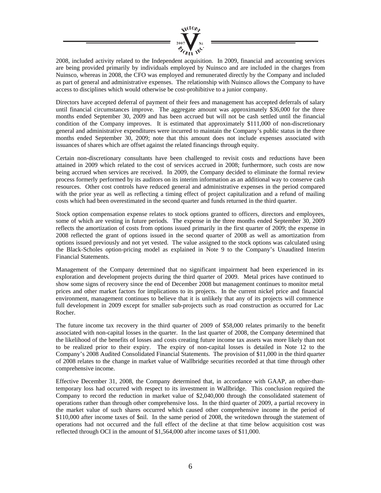

2008, included activity related to the Independent acquisition. In 2009, financial and accounting services are being provided primarily by individuals employed by Nuinsco and are included in the charges from Nuinsco, whereas in 2008, the CFO was employed and remunerated directly by the Company and included as part of general and administrative expenses. The relationship with Nuinsco allows the Company to have access to disciplines which would otherwise be cost-prohibitive to a junior company.

Directors have accepted deferral of payment of their fees and management has accepted deferrals of salary until financial circumstances improve. The aggregate amount was approximately \$36,000 for the three months ended September 30, 2009 and has been accrued but will not be cash settled until the financial condition of the Company improves. It is estimated that approximately \$111,000 of non-discretionary general and administrative expenditures were incurred to maintain the Company's public status in the three months ended September 30, 2009; note that this amount does not include expenses associated with issuances of shares which are offset against the related financings through equity.

Certain non-discretionary consultants have been challenged to revisit costs and reductions have been attained in 2009 which related to the cost of services accrued in 2008; furthermore, such costs are now being accrued when services are received. In 2009, the Company decided to eliminate the formal review process formerly performed by its auditors on its interim information as an additional way to conserve cash resources. Other cost controls have reduced general and administrative expenses in the period compared with the prior year as well as reflecting a timing effect of project capitalization and a refund of mailing costs which had been overestimated in the second quarter and funds returned in the third quarter.

Stock option compensation expense relates to stock options granted to officers, directors and employees, some of which are vesting in future periods. The expense in the three months ended September 30, 2009 reflects the amortization of costs from options issued primarily in the first quarter of 2009; the expense in 2008 reflected the grant of options issued in the second quarter of 2008 as well as amortization from options issued previously and not yet vested. The value assigned to the stock options was calculated using the Black-Scholes option-pricing model as explained in Note 9 to the Company's Unaudited Interim Financial Statements.

Management of the Company determined that no significant impairment had been experienced in its exploration and development projects during the third quarter of 2009. Metal prices have continued to show some signs of recovery since the end of December 2008 but management continues to monitor metal prices and other market factors for implications to its projects. In the current nickel price and financial environment, management continues to believe that it is unlikely that any of its projects will commence full development in 2009 except for smaller sub-projects such as road construction as occurred for Lac Rocher.

The future income tax recovery in the third quarter of 2009 of \$58,000 relates primarily to the benefit associated with non-capital losses in the quarter. In the last quarter of 2008, the Company determined that the likelihood of the benefits of losses and costs creating future income tax assets was more likely than not to be realized prior to their expiry. The expiry of non-capital losses is detailed in Note 12 to the Company's 2008 Audited Consolidated Financial Statements. The provision of \$11,000 in the third quarter of 2008 relates to the change in market value of Wallbridge securities recorded at that time through other comprehensive income.

Effective December 31, 2008, the Company determined that, in accordance with GAAP, an other-thantemporary loss had occurred with respect to its investment in Wallbridge. This conclusion required the Company to record the reduction in market value of \$2,040,000 through the consolidated statement of operations rather than through other comprehensive loss. In the third quarter of 2009, a partial recovery in the market value of such shares occurred which caused other comprehensive income in the period of \$110,000 after income taxes of \$nil. In the same period of 2008, the writedown through the statement of operations had not occurred and the full effect of the decline at that time below acquisition cost was reflected through OCI in the amount of \$1,564,000 after income taxes of \$11,000.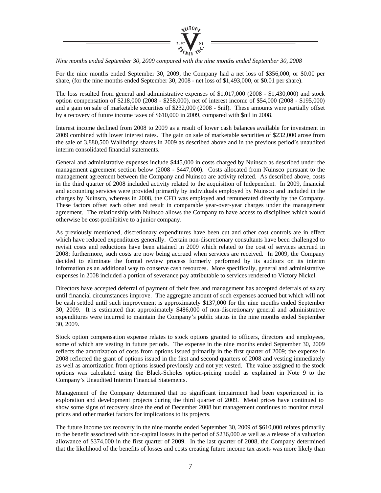

*Nine months ended September 30, 2009 compared with the nine months ended September 30, 2008* 

For the nine months ended September 30, 2009, the Company had a net loss of \$356,000, or \$0.00 per share, (for the nine months ended September 30, 2008 - net loss of \$1,493,000, or \$0.01 per share).

The loss resulted from general and administrative expenses of \$1,017,000 (2008 - \$1,430,000) and stock option compensation of \$218,000 (2008 - \$258,000), net of interest income of \$54,000 (2008 - \$195,000) and a gain on sale of marketable securities of \$232,000 (2008 - \$nil). These amounts were partially offset by a recovery of future income taxes of \$610,000 in 2009, compared with \$nil in 2008.

Interest income declined from 2008 to 2009 as a result of lower cash balances available for investment in 2009 combined with lower interest rates. The gain on sale of marketable securities of \$232,000 arose from the sale of 3,880,500 Wallbridge shares in 2009 as described above and in the previous period's unaudited interim consolidated financial statements.

General and administrative expenses include \$445,000 in costs charged by Nuinsco as described under the management agreement section below (2008 - \$447,000). Costs allocated from Nuinsco pursuant to the management agreement between the Company and Nuinsco are activity related. As described above, costs in the third quarter of 2008 included activity related to the acquisition of Independent. In 2009, financial and accounting services were provided primarily by individuals employed by Nuinsco and included in the charges by Nuinsco, whereas in 2008, the CFO was employed and remunerated directly by the Company. These factors offset each other and result in comparable year-over-year charges under the management agreement. The relationship with Nuinsco allows the Company to have access to disciplines which would otherwise be cost-prohibitive to a junior company.

As previously mentioned, discretionary expenditures have been cut and other cost controls are in effect which have reduced expenditures generally. Certain non-discretionary consultants have been challenged to revisit costs and reductions have been attained in 2009 which related to the cost of services accrued in 2008; furthermore, such costs are now being accrued when services are received. In 2009, the Company decided to eliminate the formal review process formerly performed by its auditors on its interim information as an additional way to conserve cash resources. More specifically, general and administrative expenses in 2008 included a portion of severance pay attributable to services rendered to Victory Nickel.

Directors have accepted deferral of payment of their fees and management has accepted deferrals of salary until financial circumstances improve. The aggregate amount of such expenses accrued but which will not be cash settled until such improvement is approximately \$137,000 for the nine months ended September 30, 2009. It is estimated that approximately \$486,000 of non-discretionary general and administrative expenditures were incurred to maintain the Company's public status in the nine months ended September 30, 2009.

Stock option compensation expense relates to stock options granted to officers, directors and employees, some of which are vesting in future periods. The expense in the nine months ended September 30, 2009 reflects the amortization of costs from options issued primarily in the first quarter of 2009; the expense in 2008 reflected the grant of options issued in the first and second quarters of 2008 and vesting immediately as well as amortization from options issued previously and not yet vested. The value assigned to the stock options was calculated using the Black-Scholes option-pricing model as explained in Note 9 to the Company's Unaudited Interim Financial Statements.

Management of the Company determined that no significant impairment had been experienced in its exploration and development projects during the third quarter of 2009. Metal prices have continued to show some signs of recovery since the end of December 2008 but management continues to monitor metal prices and other market factors for implications to its projects.

The future income tax recovery in the nine months ended September 30, 2009 of \$610,000 relates primarily to the benefit associated with non-capital losses in the period of \$236,000 as well as a release of a valuation allowance of \$374,000 in the first quarter of 2009. In the last quarter of 2008, the Company determined that the likelihood of the benefits of losses and costs creating future income tax assets was more likely than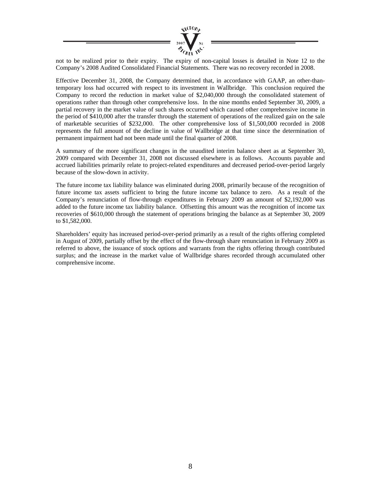

not to be realized prior to their expiry. The expiry of non-capital losses is detailed in Note 12 to the Company's 2008 Audited Consolidated Financial Statements. There was no recovery recorded in 2008.

Effective December 31, 2008, the Company determined that, in accordance with GAAP, an other-thantemporary loss had occurred with respect to its investment in Wallbridge. This conclusion required the Company to record the reduction in market value of \$2,040,000 through the consolidated statement of operations rather than through other comprehensive loss. In the nine months ended September 30, 2009, a partial recovery in the market value of such shares occurred which caused other comprehensive income in the period of \$410,000 after the transfer through the statement of operations of the realized gain on the sale of marketable securities of \$232,000. The other comprehensive loss of \$1,500,000 recorded in 2008 represents the full amount of the decline in value of Wallbridge at that time since the determination of permanent impairment had not been made until the final quarter of 2008.

A summary of the more significant changes in the unaudited interim balance sheet as at September 30, 2009 compared with December 31, 2008 not discussed elsewhere is as follows. Accounts payable and accrued liabilities primarily relate to project-related expenditures and decreased period-over-period largely because of the slow-down in activity.

The future income tax liability balance was eliminated during 2008, primarily because of the recognition of future income tax assets sufficient to bring the future income tax balance to zero. As a result of the Company's renunciation of flow-through expenditures in February 2009 an amount of \$2,192,000 was added to the future income tax liability balance. Offsetting this amount was the recognition of income tax recoveries of \$610,000 through the statement of operations bringing the balance as at September 30, 2009 to \$1,582,000.

Shareholders' equity has increased period-over-period primarily as a result of the rights offering completed in August of 2009, partially offset by the effect of the flow-through share renunciation in February 2009 as referred to above, the issuance of stock options and warrants from the rights offering through contributed surplus; and the increase in the market value of Wallbridge shares recorded through accumulated other comprehensive income.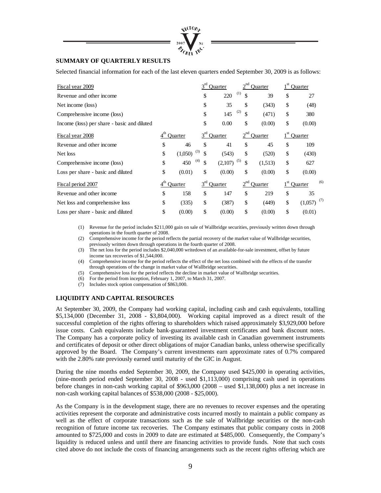

#### **SUMMARY OF QUARTERLY RESULTS**

Selected financial information for each of the last eleven quarters ended September 30, 2009 is as follows:

| Fiscal year 2009                            |               | Ouarter   |                | Ouarter   |                | <b>Ouarter</b> |                          |
|---------------------------------------------|---------------|-----------|----------------|-----------|----------------|----------------|--------------------------|
| Revenue and other income                    |               | \$        | 220            | (1)<br>\$ | 39             | \$             | 27                       |
| Net income (loss)                           |               | \$        | 35             | \$        | (343)          | \$             | (48)                     |
| Comprehensive income (loss)                 |               | \$        | 145            | (2)<br>\$ | (471)          | \$             | 380                      |
| Income (loss) per share - basic and diluted |               | \$        | 0.00           | \$        | (0.00)         | \$             | (0.00)                   |
| Fiscal year 2008                            | Ouarter       | $3^{rd}$  | <b>Quarter</b> |           | <b>Ouarter</b> |                | Ouarter                  |
| Revenue and other income                    | \$<br>46      | \$        | 41             | \$        | 45             | \$             | 109                      |
| Net loss                                    | \$<br>(1,050) | (3)<br>\$ | (543)          | \$        | (520)          | \$             | (430)                    |
| Comprehensive income (loss)                 | \$<br>450     | (4)<br>\$ | (2,107)        | (5)<br>\$ | (1,513)        | \$             | 627                      |
| Loss per share - basic and diluted          | \$<br>(0.01)  | \$        | (0.00)         | \$        | (0.00)         | \$             | (0.00)                   |
| Fiscal period 2007                          | Ouarter       | $3^{rd}$  | <b>Ouarter</b> | $2^{nd}$  | <b>Ouarter</b> |                | (6)<br>Quarter           |
| Revenue and other income                    | \$<br>158     | \$        | 147            | \$        | 219            | \$             | 35                       |
| Net loss and comprehensive loss             | \$<br>(335)   | \$        | (387)          | \$        | (449)          | \$             | $(1,057)$ <sup>(7)</sup> |
| Loss per share - basic and diluted          | \$<br>(0.00)  | \$        | (0.00)         | \$        | (0.00)         | \$             | (0.01)                   |

(1) Revenue for the period includes \$211,000 gain on sale of Wallbridge securities, previously written down through operations in the fourth quarter of 2008.

(2) Comprehensive income for the period reflects the partial recovery of the market value of Wallbridge securities, previously written down through operations in the fourth quarter of 2008.

(3) The net loss for the period includes \$2,040,000 writedown of an available-for-sale investment, offset by future income tax recoveries of \$1,544,000.

(4) Comprehensive income for the period reflects the effect of the net loss combined with the effects of the transfer through operations of the change in market value of Wallbridge securities.

- (5) Comprehensive loss for the period reflects the decline in market value of Wallbridge securities.
- (6) For the period from inception, February 1, 2007, to March 31, 2007.

(7) Includes stock option compensation of \$863,000.

#### **LIQUIDITY AND CAPITAL RESOURCES**

At September 30, 2009, the Company had working capital, including cash and cash equivalents, totalling \$5,134,000 (December 31, 2008 - \$3,804,000). Working capital improved as a direct result of the successful completion of the rights offering to shareholders which raised approximately \$3,929,000 before issue costs. Cash equivalents include bank-guaranteed investment certificates and bank discount notes. The Company has a corporate policy of investing its available cash in Canadian government instruments and certificates of deposit or other direct obligations of major Canadian banks, unless otherwise specifically approved by the Board. The Company's current investments earn approximate rates of 0.7% compared with the 2.80% rate previously earned until maturity of the GIC in August.

During the nine months ended September 30, 2009, the Company used \$425,000 in operating activities, (nine-month period ended September 30, 2008 - used \$1,113,000) comprising cash used in operations before changes in non-cash working capital of \$963,000 (2008 – used \$1,138,000) plus a net increase in non-cash working capital balances of \$538,000 (2008 - \$25,000).

As the Company is in the development stage, there are no revenues to recover expenses and the operating activities represent the corporate and administrative costs incurred mostly to maintain a public company as well as the effect of corporate transactions such as the sale of Wallbridge securities or the non-cash recognition of future income tax recoveries. The Company estimates that public company costs in 2008 amounted to \$725,000 and costs in 2009 to date are estimated at \$485,000. Consequently, the Company's liquidity is reduced unless and until there are financing activities to provide funds. Note that such costs cited above do not include the costs of financing arrangements such as the recent rights offering which are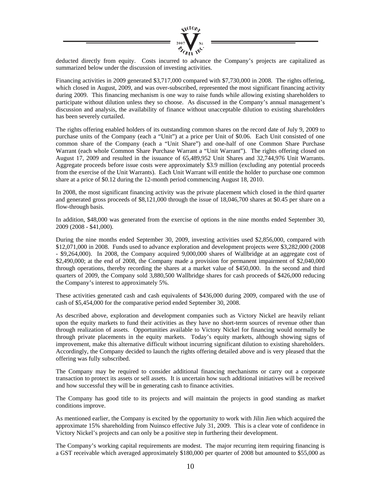

deducted directly from equity. Costs incurred to advance the Company's projects are capitalized as summarized below under the discussion of investing activities.

Financing activities in 2009 generated \$3,717,000 compared with \$7,730,000 in 2008. The rights offering, which closed in August, 2009, and was over-subscribed, represented the most significant financing activity during 2009. This financing mechanism is one way to raise funds while allowing existing shareholders to participate without dilution unless they so choose. As discussed in the Company's annual management's discussion and analysis, the availability of finance without unacceptable dilution to existing shareholders has been severely curtailed.

The rights offering enabled holders of its outstanding common shares on the record date of July 9, 2009 to purchase units of the Company (each a "Unit") at a price per Unit of \$0.06. Each Unit consisted of one common share of the Company (each a "Unit Share") and one-half of one Common Share Purchase Warrant (each whole Common Share Purchase Warrant a "Unit Warrant"). The rights offering closed on August 17, 2009 and resulted in the issuance of 65,489,952 Unit Shares and 32,744,976 Unit Warrants. Aggregate proceeds before issue costs were approximately \$3.9 million (excluding any potential proceeds from the exercise of the Unit Warrants). Each Unit Warrant will entitle the holder to purchase one common share at a price of \$0.12 during the 12-month period commencing August 18, 2010.

In 2008, the most significant financing activity was the private placement which closed in the third quarter and generated gross proceeds of \$8,121,000 through the issue of 18,046,700 shares at \$0.45 per share on a flow-through basis.

In addition, \$48,000 was generated from the exercise of options in the nine months ended September 30, 2009 (2008 - \$41,000).

During the nine months ended September 30, 2009, investing activities used \$2,856,000, compared with \$12,071,000 in 2008. Funds used to advance exploration and development projects were \$3,282,000 (2008 - \$9,264,000). In 2008, the Company acquired 9,000,000 shares of Wallbridge at an aggregate cost of \$2,490,000; at the end of 2008, the Company made a provision for permanent impairment of \$2,040,000 through operations, thereby recording the shares at a market value of \$450,000. In the second and third quarters of 2009, the Company sold 3,880,500 Wallbridge shares for cash proceeds of \$426,000 reducing the Company's interest to approximately 5%.

These activities generated cash and cash equivalents of \$436,000 during 2009, compared with the use of cash of \$5,454,000 for the comparative period ended September 30, 2008.

As described above, exploration and development companies such as Victory Nickel are heavily reliant upon the equity markets to fund their activities as they have no short-term sources of revenue other than through realization of assets. Opportunities available to Victory Nickel for financing would normally be through private placements in the equity markets. Today's equity markets, although showing signs of improvement, make this alternative difficult without incurring significant dilution to existing shareholders. Accordingly, the Company decided to launch the rights offering detailed above and is very pleased that the offering was fully subscribed.

The Company may be required to consider additional financing mechanisms or carry out a corporate transaction to protect its assets or sell assets. It is uncertain how such additional initiatives will be received and how successful they will be in generating cash to finance activities.

The Company has good title to its projects and will maintain the projects in good standing as market conditions improve.

As mentioned earlier, the Company is excited by the opportunity to work with Jilin Jien which acquired the approximate 15% shareholding from Nuinsco effective July 31, 2009. This is a clear vote of confidence in Victory Nickel's projects and can only be a positive step in furthering their development.

The Company's working capital requirements are modest. The major recurring item requiring financing is a GST receivable which averaged approximately \$180,000 per quarter of 2008 but amounted to \$55,000 as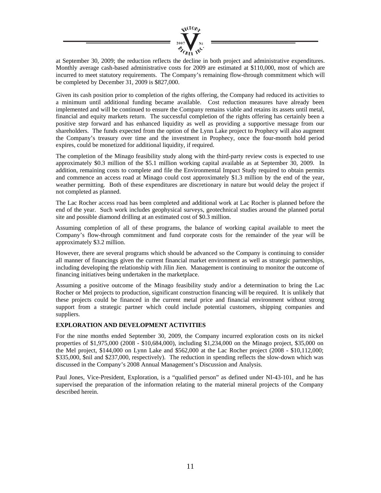

at September 30, 2009; the reduction reflects the decline in both project and administrative expenditures. Monthly average cash-based administrative costs for 2009 are estimated at \$110,000, most of which are incurred to meet statutory requirements. The Company's remaining flow-through commitment which will be completed by December 31, 2009 is \$827,000.

Given its cash position prior to completion of the rights offering, the Company had reduced its activities to a minimum until additional funding became available. Cost reduction measures have already been implemented and will be continued to ensure the Company remains viable and retains its assets until metal, financial and equity markets return. The successful completion of the rights offering has certainly been a positive step forward and has enhanced liquidity as well as providing a supportive message from our shareholders. The funds expected from the option of the Lynn Lake project to Prophecy will also augment the Company's treasury over time and the investment in Prophecy, once the four-month hold period expires, could be monetized for additional liquidity, if required.

The completion of the Minago feasibility study along with the third-party review costs is expected to use approximately \$0.3 million of the \$5.1 million working capital available as at September 30, 2009. In addition, remaining costs to complete and file the Environmental Impact Study required to obtain permits and commence an access road at Minago could cost approximately \$1.3 million by the end of the year, weather permitting. Both of these expenditures are discretionary in nature but would delay the project if not completed as planned.

The Lac Rocher access road has been completed and additional work at Lac Rocher is planned before the end of the year. Such work includes geophysical surveys, geotechnical studies around the planned portal site and possible diamond drilling at an estimated cost of \$0.3 million.

Assuming completion of all of these programs, the balance of working capital available to meet the Company's flow-through commitment and fund corporate costs for the remainder of the year will be approximately \$3.2 million.

However, there are several programs which should be advanced so the Company is continuing to consider all manner of financings given the current financial market environment as well as strategic partnerships, including developing the relationship with Jilin Jien. Management is continuing to monitor the outcome of financing initiatives being undertaken in the marketplace.

Assuming a positive outcome of the Minago feasibility study and/or a determination to bring the Lac Rocher or Mel projects to production, significant construction financing will be required. It is unlikely that these projects could be financed in the current metal price and financial environment without strong support from a strategic partner which could include potential customers, shipping companies and suppliers.

#### **EXPLORATION AND DEVELOPMENT ACTIVITIES**

For the nine months ended September 30, 2009, the Company incurred exploration costs on its nickel properties of \$1,975,000 (2008 - \$10,684,000), including \$1,234,000 on the Minago project, \$35,000 on the Mel project, \$144,000 on Lynn Lake and \$562,000 at the Lac Rocher project (2008 - \$10,112,000; \$335,000, \$nil and \$237,000, respectively). The reduction in spending reflects the slow-down which was discussed in the Company's 2008 Annual Management's Discussion and Analysis.

Paul Jones, Vice-President, Exploration, is a "qualified person" as defined under NI-43-101, and he has supervised the preparation of the information relating to the material mineral projects of the Company described herein.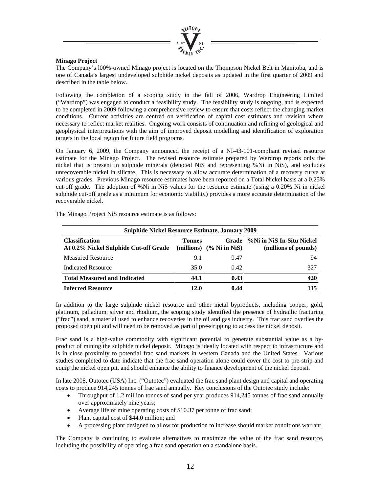

#### **Minago Project**

The Company's l00%-owned Minago project is located on the Thompson Nickel Belt in Manitoba, and is one of Canada's largest undeveloped sulphide nickel deposits as updated in the first quarter of 2009 and described in the table below.

Following the completion of a scoping study in the fall of 2006, Wardrop Engineering Limited ("Wardrop") was engaged to conduct a feasibility study. The feasibility study is ongoing, and is expected to be completed in 2009 following a comprehensive review to ensure that costs reflect the changing market conditions. Current activities are centred on verification of capital cost estimates and revision where necessary to reflect market realities. Ongoing work consists of continuation and refining of geological and geophysical interpretations with the aim of improved deposit modelling and identification of exploration targets in the local region for future field programs.

On January 6, 2009, the Company announced the receipt of a NI-43-101-compliant revised resource estimate for the Minago Project. The revised resource estimate prepared by Wardrop reports only the nickel that is present in sulphide minerals (denoted NiS and representing %Ni in NiS), and excludes unrecoverable nickel in silicate. This is necessary to allow accurate determination of a recovery curve at various grades. Previous Minago resource estimates have been reported on a Total Nickel basis at a 0.25% cut-off grade. The adoption of %Ni in NiS values for the resource estimate (using a 0.20% Ni in nickel sulphide cut-off grade as a minimum for economic viability) provides a more accurate determination of the recoverable nickel.

| <b>Sulphide Nickel Resource Estimate, January 2009</b>         |               |                                     |                                                   |  |  |  |  |
|----------------------------------------------------------------|---------------|-------------------------------------|---------------------------------------------------|--|--|--|--|
| <b>Classification</b><br>At 0.2% Nickel Sulphide Cut-off Grade | <b>Tonnes</b> | Grade<br>(millions) $(%$ Ni in NiS) | %Ni in NiS In-Situ Nickel<br>(millions of pounds) |  |  |  |  |
| <b>Measured Resource</b>                                       | 9.1           | 0.47                                | 94                                                |  |  |  |  |
| <b>Indicated Resource</b>                                      | 35.0          | 0.42                                | 327                                               |  |  |  |  |
| <b>Total Measured and Indicated</b>                            | 44.1          | 0.43                                | 420                                               |  |  |  |  |
| <b>Inferred Resource</b>                                       | 12.0          | 0.44                                | 115                                               |  |  |  |  |

The Minago Project NiS resource estimate is as follows:

In addition to the large sulphide nickel resource and other metal byproducts, including copper, gold, platinum, palladium, silver and rhodium, the scoping study identified the presence of hydraulic fracturing ("frac") sand, a material used to enhance recoveries in the oil and gas industry. This frac sand overlies the proposed open pit and will need to be removed as part of pre-stripping to access the nickel deposit.

Frac sand is a high-value commodity with significant potential to generate substantial value as a byproduct of mining the sulphide nickel deposit. Minago is ideally located with respect to infrastructure and is in close proximity to potential frac sand markets in western Canada and the United States. Various studies completed to date indicate that the frac sand operation alone could cover the cost to pre-strip and equip the nickel open pit, and should enhance the ability to finance development of the nickel deposit.

In late 2008, Outotec (USA) Inc. ("Outotec") evaluated the frac sand plant design and capital and operating costs to produce 914,245 tonnes of frac sand annually. Key conclusions of the Outotec study include:

- Throughput of 1.2 million tonnes of sand per year produces 914,245 tonnes of frac sand annually over approximately nine years;
- Average life of mine operating costs of \$10.37 per tonne of frac sand;
- Plant capital cost of \$44.0 million; and
- A processing plant designed to allow for production to increase should market conditions warrant.

The Company is continuing to evaluate alternatives to maximize the value of the frac sand resource, including the possibility of operating a frac sand operation on a standalone basis.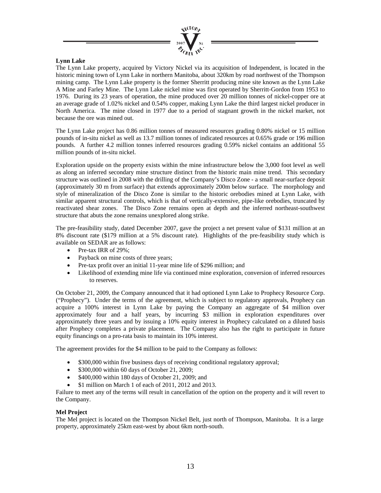

#### **Lynn Lake**

The Lynn Lake property, acquired by Victory Nickel via its acquisition of Independent, is located in the historic mining town of Lynn Lake in northern Manitoba, about 320km by road northwest of the Thompson mining camp. The Lynn Lake property is the former Sherritt producing mine site known as the Lynn Lake A Mine and Farley Mine. The Lynn Lake nickel mine was first operated by Sherritt-Gordon from 1953 to 1976. During its 23 years of operation, the mine produced over 20 million tonnes of nickel-copper ore at an average grade of 1.02% nickel and 0.54% copper, making Lynn Lake the third largest nickel producer in North America. The mine closed in 1977 due to a period of stagnant growth in the nickel market, not because the ore was mined out.

The Lynn Lake project has 0.86 million tonnes of measured resources grading 0.80% nickel or 15 million pounds of in-situ nickel as well as 13.7 million tonnes of indicated resources at 0.65% grade or 196 million pounds. A further 4.2 million tonnes inferred resources grading 0.59% nickel contains an additional 55 million pounds of in-situ nickel.

Exploration upside on the property exists within the mine infrastructure below the 3,000 foot level as well as along an inferred secondary mine structure distinct from the historic main mine trend. This secondary structure was outlined in 2008 with the drilling of the Company's Disco Zone - a small near-surface deposit (approximately 30 m from surface) that extends approximately 200m below surface. The morphology and style of mineralization of the Disco Zone is similar to the historic orebodies mined at Lynn Lake, with similar apparent structural controls, which is that of vertically-extensive, pipe-like orebodies, truncated by reactivated shear zones. The Disco Zone remains open at depth and the inferred northeast-southwest structure that abuts the zone remains unexplored along strike.

The pre-feasibility study, dated December 2007, gave the project a net present value of \$131 million at an 8% discount rate (\$179 million at a 5% discount rate). Highlights of the pre-feasibility study which is available on SEDAR are as follows:

- Pre-tax IRR of 29%:
- Payback on mine costs of three years;
- Pre-tax profit over an initial 11-year mine life of \$296 million; and
- Likelihood of extending mine life via continued mine exploration, conversion of inferred resources to reserves.

On October 21, 2009, the Company announced that it had optioned Lynn Lake to Prophecy Resource Corp. ("Prophecy"). Under the terms of the agreement, which is subject to regulatory approvals, Prophecy can acquire a 100% interest in Lynn Lake by paying the Company an aggregate of \$4 million over approximately four and a half years, by incurring \$3 million in exploration expenditures over approximately three years and by issuing a 10% equity interest in Prophecy calculated on a diluted basis after Prophecy completes a private placement. The Company also has the right to participate in future equity financings on a pro-rata basis to maintain its 10% interest.

The agreement provides for the \$4 million to be paid to the Company as follows:

- \$300,000 within five business days of receiving conditional regulatory approval;
- \$300,000 within 60 days of October 21, 2009;
- \$400,000 within 180 days of October 21, 2009; and
- \$1 million on March 1 of each of 2011, 2012 and 2013.

Failure to meet any of the terms will result in cancellation of the option on the property and it will revert to the Company.

#### **Mel Project**

The Mel project is located on the Thompson Nickel Belt, just north of Thompson, Manitoba. It is a large property, approximately 25km east-west by about 6km north-south.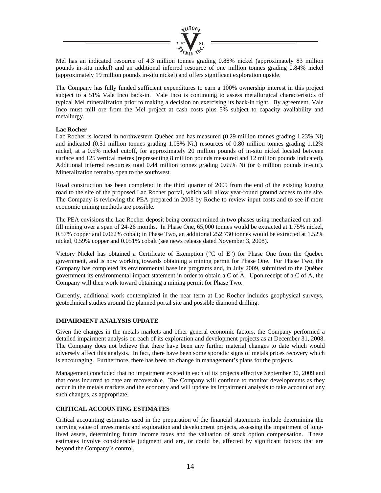

Mel has an indicated resource of 4.3 million tonnes grading 0.88% nickel (approximately 83 million pounds in-situ nickel) and an additional inferred resource of one million tonnes grading 0.84% nickel (approximately 19 million pounds in-situ nickel) and offers significant exploration upside.

The Company has fully funded sufficient expenditures to earn a 100% ownership interest in this project subject to a 51% Vale Inco back-in. Vale Inco is continuing to assess metallurgical characteristics of typical Mel mineralization prior to making a decision on exercising its back-in right. By agreement, Vale Inco must mill ore from the Mel project at cash costs plus 5% subject to capacity availability and metallurgy.

#### **Lac Rocher**

Lac Rocher is located in northwestern Québec and has measured (0.29 million tonnes grading 1.23% Ni) and indicated (0.51 million tonnes grading 1.05% Ni.) resources of 0.80 million tonnes grading 1.12% nickel, at a 0.5% nickel cutoff, for approximately 20 million pounds of in-situ nickel located between surface and 125 vertical metres (representing 8 million pounds measured and 12 million pounds indicated). Additional inferred resources total 0.44 million tonnes grading 0.65% Ni (or 6 million pounds in-situ). Mineralization remains open to the southwest.

Road construction has been completed in the third quarter of 2009 from the end of the existing logging road to the site of the proposed Lac Rocher portal, which will allow year-round ground access to the site. The Company is reviewing the PEA prepared in 2008 by Roche to review input costs and to see if more economic mining methods are possible.

The PEA envisions the Lac Rocher deposit being contract mined in two phases using mechanized cut-andfill mining over a span of 24-26 months. In Phase One, 65,000 tonnes would be extracted at 1.75% nickel, 0.57% copper and 0.062% cobalt; in Phase Two, an additional 252,730 tonnes would be extracted at 1.52% nickel, 0.59% copper and 0.051% cobalt (see news release dated November 3, 2008).

Victory Nickel has obtained a Certificate of Exemption ("C of E") for Phase One from the Québec government, and is now working towards obtaining a mining permit for Phase One. For Phase Two, the Company has completed its environmental baseline programs and, in July 2009, submitted to the Québec government its environmental impact statement in order to obtain a C of A. Upon receipt of a C of A, the Company will then work toward obtaining a mining permit for Phase Two.

Currently, additional work contemplated in the near term at Lac Rocher includes geophysical surveys, geotechnical studies around the planned portal site and possible diamond drilling.

#### **IMPAIRMENT ANALYSIS UPDATE**

Given the changes in the metals markets and other general economic factors, the Company performed a detailed impairment analysis on each of its exploration and development projects as at December 31, 2008. The Company does not believe that there have been any further material changes to date which would adversely affect this analysis. In fact, there have been some sporadic signs of metals prices recovery which is encouraging. Furthermore, there has been no change in management's plans for the projects.

Management concluded that no impairment existed in each of its projects effective September 30, 2009 and that costs incurred to date are recoverable. The Company will continue to monitor developments as they occur in the metals markets and the economy and will update its impairment analysis to take account of any such changes, as appropriate.

#### **CRITICAL ACCOUNTING ESTIMATES**

Critical accounting estimates used in the preparation of the financial statements include determining the carrying value of investments and exploration and development projects, assessing the impairment of longlived assets, determining future income taxes and the valuation of stock option compensation. These estimates involve considerable judgment and are, or could be, affected by significant factors that are beyond the Company's control.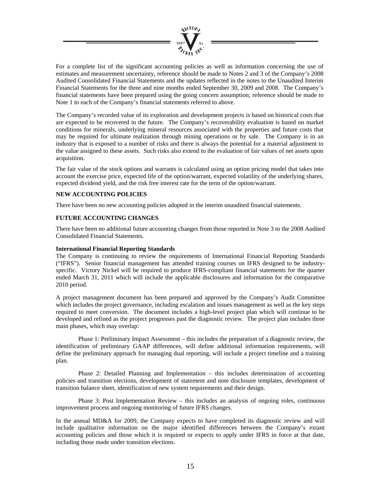

For a complete list of the significant accounting policies as well as information concerning the use of estimates and measurement uncertainty, reference should be made to Notes 2 and 3 of the Company's 2008 Audited Consolidated Financial Statements and the updates reflected in the notes to the Unaudited Interim Financial Statements for the three and nine months ended September 30, 2009 and 2008. The Company's financial statements have been prepared using the going concern assumption; reference should be made to Note 1 to each of the Company's financial statements referred to above.

The Company's recorded value of its exploration and development projects is based on historical costs that are expected to be recovered in the future. The Company's recoverability evaluation is based on market conditions for minerals, underlying mineral resources associated with the properties and future costs that may be required for ultimate realization through mining operations or by sale. The Company is in an industry that is exposed to a number of risks and there is always the potential for a material adjustment to the value assigned to these assets. Such risks also extend to the evaluation of fair values of net assets upon acquisition.

The fair value of the stock options and warrants is calculated using an option pricing model that takes into account the exercise price, expected life of the option/warrant, expected volatility of the underlying shares, expected dividend yield, and the risk free interest rate for the term of the option/warrant.

#### **NEW ACCOUNTING POLICIES**

There have been no new accounting policies adopted in the interim unaudited financial statements.

#### **FUTURE ACCOUNTING CHANGES**

There have been no additional future accounting changes from those reported in Note 3 to the 2008 Audited Consolidated Financial Statements.

#### **International Financial Reporting Standards**

The Company is continuing to review the requirements of International Financial Reporting Standards ("IFRS"). Senior financial management has attended training courses on IFRS designed to be industryspecific. Victory Nickel will be required to produce IFRS-compliant financial statements for the quarter ended March 31, 2011 which will include the applicable disclosures and information for the comparative 2010 period.

A project management document has been prepared and approved by the Company's Audit Committee which includes the project governance, including escalation and issues management as well as the key steps required to meet conversion. The document includes a high-level project plan which will continue to be developed and refined as the project progresses past the diagnostic review. The project plan includes three main phases, which may overlap:

 Phase 1: Preliminary Impact Assessment – this includes the preparation of a diagnostic review, the identification of preliminary GAAP differences, will define additional information requirements, will define the preliminary approach for managing dual reporting, will include a project timeline and a training plan.

 Phase 2: Detailed Planning and Implementation – this includes determination of accounting policies and transition elections, development of statement and note disclosure templates, development of transition balance sheet, identification of new system requirements and their design.

 Phase 3: Post Implementation Review – this includes an analysis of ongoing roles, continuous improvement process and ongoing monitoring of future IFRS changes.

In the annual MD&A for 2009, the Company expects to have completed its diagnostic review and will include qualitative information on the major identified differences between the Company's extant accounting policies and those which it is required or expects to apply under IFRS in force at that date, including those made under transition elections.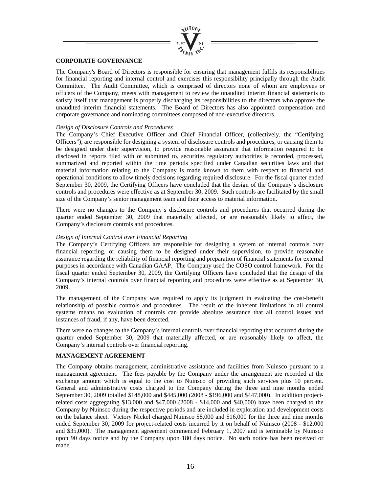

#### **CORPORATE GOVERNANCE**

The Company's Board of Directors is responsible for ensuring that management fulfils its responsibilities for financial reporting and internal control and exercises this responsibility principally through the Audit Committee. The Audit Committee, which is comprised of directors none of whom are employees or officers of the Company, meets with management to review the unaudited interim financial statements to satisfy itself that management is properly discharging its responsibilities to the directors who approve the unaudited interim financial statements. The Board of Directors has also appointed compensation and corporate governance and nominating committees composed of non-executive directors.

#### *Design of Disclosure Controls and Procedures*

The Company's Chief Executive Officer and Chief Financial Officer, (collectively, the "Certifying Officers"), are responsible for designing a system of disclosure controls and procedures, or causing them to be designed under their supervision, to provide reasonable assurance that information required to be disclosed in reports filed with or submitted to, securities regulatory authorities is recorded, processed, summarized and reported within the time periods specified under Canadian securities laws and that material information relating to the Company is made known to them with respect to financial and operational conditions to allow timely decisions regarding required disclosure. For the fiscal quarter ended September 30, 2009, the Certifying Officers have concluded that the design of the Company's disclosure controls and procedures were effective as at September 30, 2009. Such controls are facilitated by the small size of the Company's senior management team and their access to material information.

There were no changes to the Company's disclosure controls and procedures that occurred during the quarter ended September 30, 2009 that materially affected, or are reasonably likely to affect, the Company's disclosure controls and procedures.

#### *Design of Internal Control over Financial Reporting*

The Company's Certifying Officers are responsible for designing a system of internal controls over financial reporting, or causing them to be designed under their supervision, to provide reasonable assurance regarding the reliability of financial reporting and preparation of financial statements for external purposes in accordance with Canadian GAAP. The Company used the COSO control framework. For the fiscal quarter ended September 30, 2009, the Certifying Officers have concluded that the design of the Company's internal controls over financial reporting and procedures were effective as at September 30, 2009.

The management of the Company was required to apply its judgment in evaluating the cost-benefit relationship of possible controls and procedures. The result of the inherent limitations in all control systems means no evaluation of controls can provide absolute assurance that all control issues and instances of fraud, if any, have been detected.

There were no changes to the Company's internal controls over financial reporting that occurred during the quarter ended September 30, 2009 that materially affected, or are reasonably likely to affect, the Company's internal controls over financial reporting.

#### **MANAGEMENT AGREEMENT**

The Company obtains management, administrative assistance and facilities from Nuinsco pursuant to a management agreement. The fees payable by the Company under the arrangement are recorded at the exchange amount which is equal to the cost to Nuinsco of providing such services plus 10 percent. General and administrative costs charged to the Company during the three and nine months ended September 30, 2009 totalled \$148,000 and \$445,000 (2008 - \$196,000 and \$447,000). In addition projectrelated costs aggregating \$13,000 and \$47,000 (2008 - \$14,000 and \$40,000) have been charged to the Company by Nuinsco during the respective periods and are included in exploration and development costs on the balance sheet. Victory Nickel charged Nuinsco \$8,000 and \$16,000 for the three and nine months ended September 30, 2009 for project-related costs incurred by it on behalf of Nuinsco (2008 - \$12,000 and \$35,000). The management agreement commenced February 1, 2007 and is terminable by Nuinsco upon 90 days notice and by the Company upon 180 days notice. No such notice has been received or made.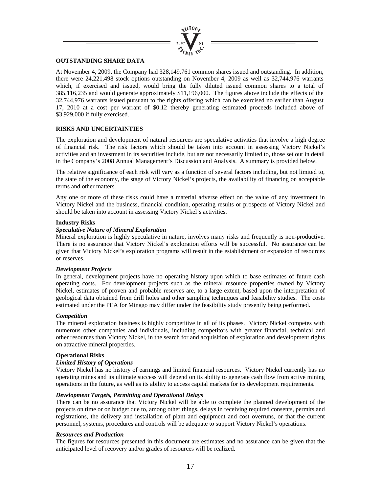

#### **OUTSTANDING SHARE DATA**

At November 4, 2009, the Company had 328,149,761 common shares issued and outstanding. In addition, there were 24,221,498 stock options outstanding on November 4, 2009 as well as 32,744,976 warrants which, if exercised and issued, would bring the fully diluted issued common shares to a total of 385,116,235 and would generate approximately \$11,196,000. The figures above include the effects of the 32,744,976 warrants issued pursuant to the rights offering which can be exercised no earlier than August 17, 2010 at a cost per warrant of \$0.12 thereby generating estimated proceeds included above of \$3,929,000 if fully exercised.

#### **RISKS AND UNCERTAINTIES**

The exploration and development of natural resources are speculative activities that involve a high degree of financial risk. The risk factors which should be taken into account in assessing Victory Nickel's activities and an investment in its securities include, but are not necessarily limited to, those set out in detail in the Company's 2008 Annual Management's Discussion and Analysis. A summary is provided below.

The relative significance of each risk will vary as a function of several factors including, but not limited to, the state of the economy, the stage of Victory Nickel's projects, the availability of financing on acceptable terms and other matters.

Any one or more of these risks could have a material adverse effect on the value of any investment in Victory Nickel and the business, financial condition, operating results or prospects of Victory Nickel and should be taken into account in assessing Victory Nickel's activities.

#### **Industry Risks**

#### *Speculative Nature of Mineral Exploration*

Mineral exploration is highly speculative in nature, involves many risks and frequently is non-productive. There is no assurance that Victory Nickel's exploration efforts will be successful. No assurance can be given that Victory Nickel's exploration programs will result in the establishment or expansion of resources or reserves.

#### *Development Projects*

In general, development projects have no operating history upon which to base estimates of future cash operating costs. For development projects such as the mineral resource properties owned by Victory Nickel, estimates of proven and probable reserves are, to a large extent, based upon the interpretation of geological data obtained from drill holes and other sampling techniques and feasibility studies. The costs estimated under the PEA for Minago may differ under the feasibility study presently being performed.

#### *Competition*

The mineral exploration business is highly competitive in all of its phases. Victory Nickel competes with numerous other companies and individuals, including competitors with greater financial, technical and other resources than Victory Nickel, in the search for and acquisition of exploration and development rights on attractive mineral properties.

#### **Operational Risks**

#### *Limited History of Operations*

Victory Nickel has no history of earnings and limited financial resources. Victory Nickel currently has no operating mines and its ultimate success will depend on its ability to generate cash flow from active mining operations in the future, as well as its ability to access capital markets for its development requirements.

#### *Development Targets, Permitting and Operational Delays*

There can be no assurance that Victory Nickel will be able to complete the planned development of the projects on time or on budget due to, among other things, delays in receiving required consents, permits and registrations, the delivery and installation of plant and equipment and cost overruns, or that the current personnel, systems, procedures and controls will be adequate to support Victory Nickel's operations.

#### *Resources and Production*

The figures for resources presented in this document are estimates and no assurance can be given that the anticipated level of recovery and/or grades of resources will be realized.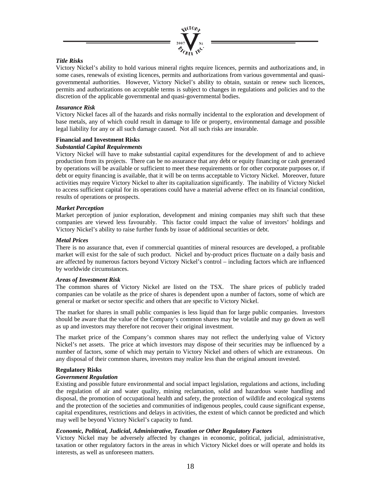

#### *Title Risks*

Victory Nickel's ability to hold various mineral rights require licences, permits and authorizations and, in some cases, renewals of existing licences, permits and authorizations from various governmental and quasigovernmental authorities. However, Victory Nickel's ability to obtain, sustain or renew such licences, permits and authorizations on acceptable terms is subject to changes in regulations and policies and to the discretion of the applicable governmental and quasi-governmental bodies.

#### *Insurance Risk*

Victory Nickel faces all of the hazards and risks normally incidental to the exploration and development of base metals, any of which could result in damage to life or property, environmental damage and possible legal liability for any or all such damage caused. Not all such risks are insurable.

#### **Financial and Investment Risks**

#### *Substantial Capital Requirements*

Victory Nickel will have to make substantial capital expenditures for the development of and to achieve production from its projects. There can be no assurance that any debt or equity financing or cash generated by operations will be available or sufficient to meet these requirements or for other corporate purposes or, if debt or equity financing is available, that it will be on terms acceptable to Victory Nickel. Moreover, future activities may require Victory Nickel to alter its capitalization significantly. The inability of Victory Nickel to access sufficient capital for its operations could have a material adverse effect on its financial condition, results of operations or prospects.

#### *Market Perception*

Market perception of junior exploration, development and mining companies may shift such that these companies are viewed less favourably. This factor could impact the value of investors' holdings and Victory Nickel's ability to raise further funds by issue of additional securities or debt.

#### *Metal Prices*

There is no assurance that, even if commercial quantities of mineral resources are developed, a profitable market will exist for the sale of such product. Nickel and by-product prices fluctuate on a daily basis and are affected by numerous factors beyond Victory Nickel's control – including factors which are influenced by worldwide circumstances.

#### *Areas of Investment Risk*

The common shares of Victory Nickel are listed on the TSX. The share prices of publicly traded companies can be volatile as the price of shares is dependent upon a number of factors, some of which are general or market or sector specific and others that are specific to Victory Nickel.

The market for shares in small public companies is less liquid than for large public companies. Investors should be aware that the value of the Company's common shares may be volatile and may go down as well as up and investors may therefore not recover their original investment.

The market price of the Company's common shares may not reflect the underlying value of Victory Nickel's net assets. The price at which investors may dispose of their securities may be influenced by a number of factors, some of which may pertain to Victory Nickel and others of which are extraneous. On any disposal of their common shares, investors may realize less than the original amount invested.

#### **Regulatory Risks**

#### *Government Regulation*

Existing and possible future environmental and social impact legislation, regulations and actions, including the regulation of air and water quality, mining reclamation, solid and hazardous waste handling and disposal, the promotion of occupational health and safety, the protection of wildlife and ecological systems and the protection of the societies and communities of indigenous peoples, could cause significant expense, capital expenditures, restrictions and delays in activities, the extent of which cannot be predicted and which may well be beyond Victory Nickel's capacity to fund.

#### *Economic, Political, Judicial, Administrative, Taxation or Other Regulatory Factors*

Victory Nickel may be adversely affected by changes in economic, political, judicial, administrative, taxation or other regulatory factors in the areas in which Victory Nickel does or will operate and holds its interests, as well as unforeseen matters.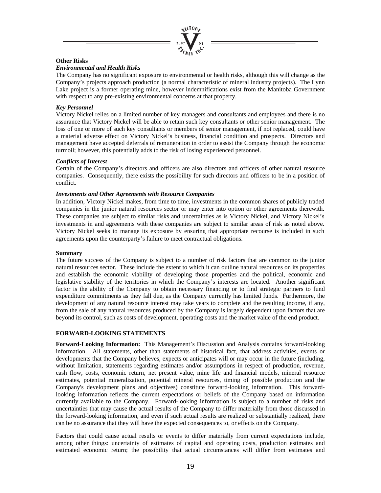

#### **Other Risks**

#### *Environmental and Health Risks*

The Company has no significant exposure to environmental or health risks, although this will change as the Company's projects approach production (a normal characteristic of mineral industry projects). The Lynn Lake project is a former operating mine, however indemnifications exist from the Manitoba Government with respect to any pre-existing environmental concerns at that property.

#### *Key Personnel*

Victory Nickel relies on a limited number of key managers and consultants and employees and there is no assurance that Victory Nickel will be able to retain such key consultants or other senior management. The loss of one or more of such key consultants or members of senior management, if not replaced, could have a material adverse effect on Victory Nickel's business, financial condition and prospects. Directors and management have accepted deferrals of remuneration in order to assist the Company through the economic turmoil; however, this potentially adds to the risk of losing experienced personnel.

#### *Conflicts of Interest*

Certain of the Company's directors and officers are also directors and officers of other natural resource companies. Consequently, there exists the possibility for such directors and officers to be in a position of conflict.

#### *Investments and Other Agreements with Resource Companies*

In addition, Victory Nickel makes, from time to time, investments in the common shares of publicly traded companies in the junior natural resources sector or may enter into option or other agreements therewith. These companies are subject to similar risks and uncertainties as is Victory Nickel, and Victory Nickel's investments in and agreements with these companies are subject to similar areas of risk as noted above. Victory Nickel seeks to manage its exposure by ensuring that appropriate recourse is included in such agreements upon the counterparty's failure to meet contractual obligations.

#### **Summary**

The future success of the Company is subject to a number of risk factors that are common to the junior natural resources sector. These include the extent to which it can outline natural resources on its properties and establish the economic viability of developing those properties and the political, economic and legislative stability of the territories in which the Company's interests are located. Another significant factor is the ability of the Company to obtain necessary financing or to find strategic partners to fund expenditure commitments as they fall due, as the Company currently has limited funds. Furthermore, the development of any natural resource interest may take years to complete and the resulting income, if any, from the sale of any natural resources produced by the Company is largely dependent upon factors that are beyond its control, such as costs of development, operating costs and the market value of the end product.

#### **FORWARD-LOOKING STATEMENTS**

**Forward-Looking Information:** This Management's Discussion and Analysis contains forward-looking information. All statements, other than statements of historical fact, that address activities, events or developments that the Company believes, expects or anticipates will or may occur in the future (including, without limitation, statements regarding estimates and/or assumptions in respect of production, revenue, cash flow, costs, economic return, net present value, mine life and financial models, mineral resource estimates, potential mineralization, potential mineral resources, timing of possible production and the Company's development plans and objectives) constitute forward-looking information. This forwardlooking information reflects the current expectations or beliefs of the Company based on information currently available to the Company. Forward-looking information is subject to a number of risks and uncertainties that may cause the actual results of the Company to differ materially from those discussed in the forward-looking information, and even if such actual results are realized or substantially realized, there can be no assurance that they will have the expected consequences to, or effects on the Company.

Factors that could cause actual results or events to differ materially from current expectations include, among other things: uncertainty of estimates of capital and operating costs, production estimates and estimated economic return; the possibility that actual circumstances will differ from estimates and